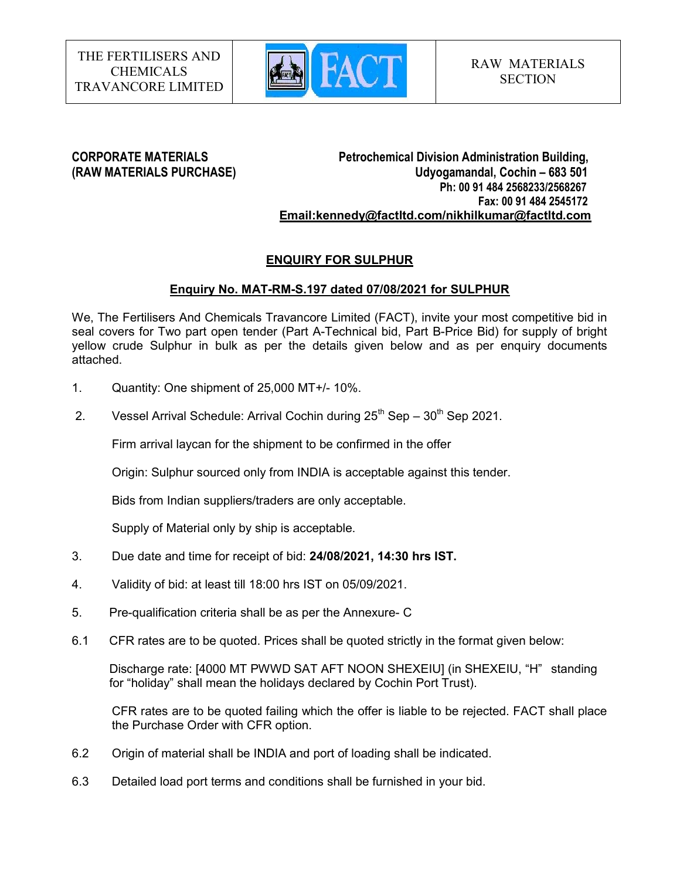

CORPORATE MATERIALS Petrochemical Division Administration Building, (RAW MATERIALS PURCHASE) Udyogamandal, Cochin – 683 501 Ph: 00 91 484 2568233/2568267 Fax: 00 91 484 2545172 Email:kennedy@factltd.com/nikhilkumar@factltd.com

# ENQUIRY FOR SULPHUR

# Enquiry No. MAT-RM-S.197 dated 07/08/2021 for SULPHUR

We, The Fertilisers And Chemicals Travancore Limited (FACT), invite your most competitive bid in seal covers for Two part open tender (Part A-Technical bid, Part B-Price Bid) for supply of bright yellow crude Sulphur in bulk as per the details given below and as per enquiry documents attached.

- 1. Quantity: One shipment of 25,000 MT+/- 10%.
- 2. Vessel Arrival Schedule: Arrival Cochin during  $25<sup>th</sup>$  Sep  $30<sup>th</sup>$  Sep 2021.

Firm arrival laycan for the shipment to be confirmed in the offer

Origin: Sulphur sourced only from INDIA is acceptable against this tender.

Bids from Indian suppliers/traders are only acceptable.

Supply of Material only by ship is acceptable.

- 3. Due date and time for receipt of bid: 24/08/2021, 14:30 hrs IST.
- 4. Validity of bid: at least till 18:00 hrs IST on 05/09/2021.
- 5. Pre-qualification criteria shall be as per the Annexure- C
- 6.1 CFR rates are to be quoted. Prices shall be quoted strictly in the format given below:

Discharge rate: [4000 MT PWWD SAT AFT NOON SHEXEIU] (in SHEXEIU, "H" standing for "holiday" shall mean the holidays declared by Cochin Port Trust).

CFR rates are to be quoted failing which the offer is liable to be rejected. FACT shall place the Purchase Order with CFR option.

- 6.2 Origin of material shall be INDIA and port of loading shall be indicated.
- 6.3 Detailed load port terms and conditions shall be furnished in your bid.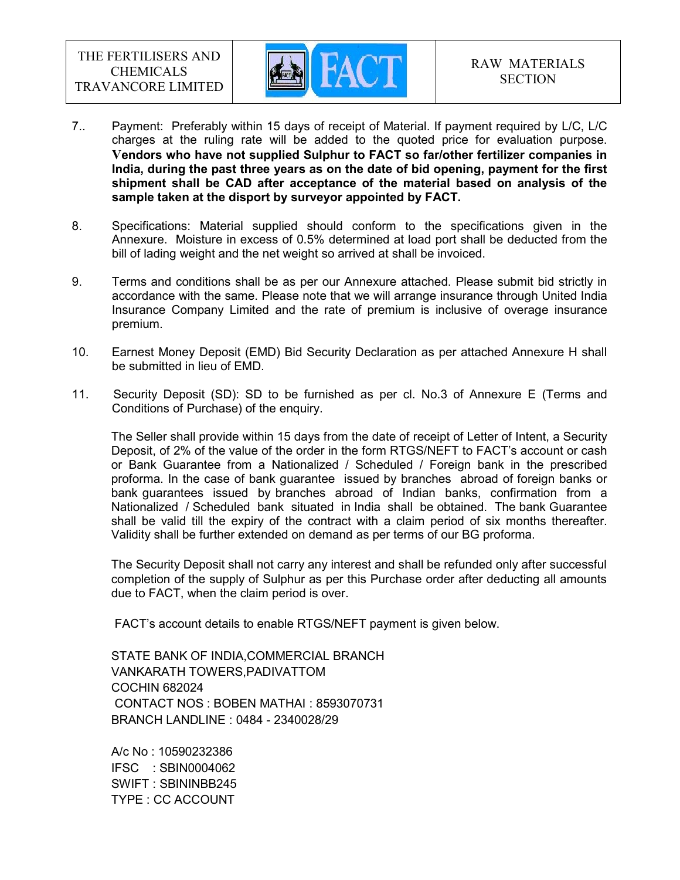

- 7.. Payment: Preferably within 15 days of receipt of Material. If payment required by L/C, L/C charges at the ruling rate will be added to the quoted price for evaluation purpose. Vendors who have not supplied Sulphur to FACT so far/other fertilizer companies in India, during the past three years as on the date of bid opening, payment for the first shipment shall be CAD after acceptance of the material based on analysis of the sample taken at the disport by surveyor appointed by FACT.
- 8. Specifications: Material supplied should conform to the specifications given in the Annexure. Moisture in excess of 0.5% determined at load port shall be deducted from the bill of lading weight and the net weight so arrived at shall be invoiced.
- 9. Terms and conditions shall be as per our Annexure attached. Please submit bid strictly in accordance with the same. Please note that we will arrange insurance through United India Insurance Company Limited and the rate of premium is inclusive of overage insurance premium.
- 10. Earnest Money Deposit (EMD) Bid Security Declaration as per attached Annexure H shall be submitted in lieu of EMD.
- 11. Security Deposit (SD): SD to be furnished as per cl. No.3 of Annexure E (Terms and Conditions of Purchase) of the enquiry.

The Seller shall provide within 15 days from the date of receipt of Letter of Intent, a Security Deposit, of 2% of the value of the order in the form RTGS/NEFT to FACT's account or cash or Bank Guarantee from a Nationalized / Scheduled / Foreign bank in the prescribed proforma. In the case of bank guarantee issued by branches abroad of foreign banks or bank guarantees issued by branches abroad of Indian banks, confirmation from a Nationalized / Scheduled bank situated in India shall be obtained. The bank Guarantee shall be valid till the expiry of the contract with a claim period of six months thereafter. Validity shall be further extended on demand as per terms of our BG proforma.

The Security Deposit shall not carry any interest and shall be refunded only after successful completion of the supply of Sulphur as per this Purchase order after deducting all amounts due to FACT, when the claim period is over.

FACT's account details to enable RTGS/NEFT payment is given below.

STATE BANK OF INDIA,COMMERCIAL BRANCH VANKARATH TOWERS,PADIVATTOM COCHIN 682024 CONTACT NOS : BOBEN MATHAI : 8593070731 BRANCH LANDLINE : 0484 - 2340028/29

A/c No : 10590232386 IFSC : SBIN0004062 SWIFT : SBININBB245 TYPE : CC ACCOUNT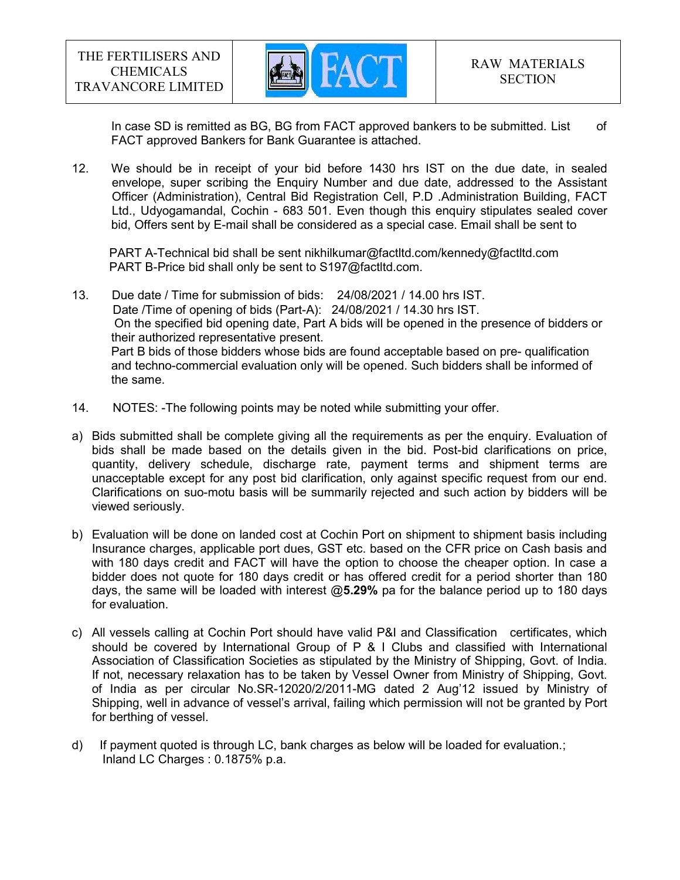

In case SD is remitted as BG, BG from FACT approved bankers to be submitted. List of FACT approved Bankers for Bank Guarantee is attached.

12. We should be in receipt of your bid before 1430 hrs IST on the due date, in sealed envelope, super scribing the Enquiry Number and due date, addressed to the Assistant Officer (Administration), Central Bid Registration Cell, P.D .Administration Building, FACT Ltd., Udyogamandal, Cochin - 683 501. Even though this enquiry stipulates sealed cover bid, Offers sent by E-mail shall be considered as a special case. Email shall be sent to

 PART A-Technical bid shall be sent nikhilkumar@factltd.com/kennedy@factltd.com PART B-Price bid shall only be sent to S197@factltd.com.

13. Due date / Time for submission of bids: 24/08/2021 / 14.00 hrs IST. Date /Time of opening of bids (Part-A): 24/08/2021 / 14.30 hrs IST. On the specified bid opening date, Part A bids will be opened in the presence of bidders or their authorized representative present. Part B bids of those bidders whose bids are found acceptable based on pre- qualification and techno-commercial evaluation only will be opened. Such bidders shall be informed of the same.

- 14. NOTES: -The following points may be noted while submitting your offer.
- a) Bids submitted shall be complete giving all the requirements as per the enquiry. Evaluation of bids shall be made based on the details given in the bid. Post-bid clarifications on price, quantity, delivery schedule, discharge rate, payment terms and shipment terms are unacceptable except for any post bid clarification, only against specific request from our end. Clarifications on suo-motu basis will be summarily rejected and such action by bidders will be viewed seriously.
- b) Evaluation will be done on landed cost at Cochin Port on shipment to shipment basis including Insurance charges, applicable port dues, GST etc. based on the CFR price on Cash basis and with 180 days credit and FACT will have the option to choose the cheaper option. In case a bidder does not quote for 180 days credit or has offered credit for a period shorter than 180 days, the same will be loaded with interest  $@5.29\%$  pa for the balance period up to 180 days for evaluation.
- c) All vessels calling at Cochin Port should have valid P&I and Classification certificates, which should be covered by International Group of P & I Clubs and classified with International Association of Classification Societies as stipulated by the Ministry of Shipping, Govt. of India. If not, necessary relaxation has to be taken by Vessel Owner from Ministry of Shipping, Govt. of India as per circular No.SR-12020/2/2011-MG dated 2 Aug'12 issued by Ministry of Shipping, well in advance of vessel's arrival, failing which permission will not be granted by Port for berthing of vessel.
- d) If payment quoted is through LC, bank charges as below will be loaded for evaluation.; Inland LC Charges : 0.1875% p.a.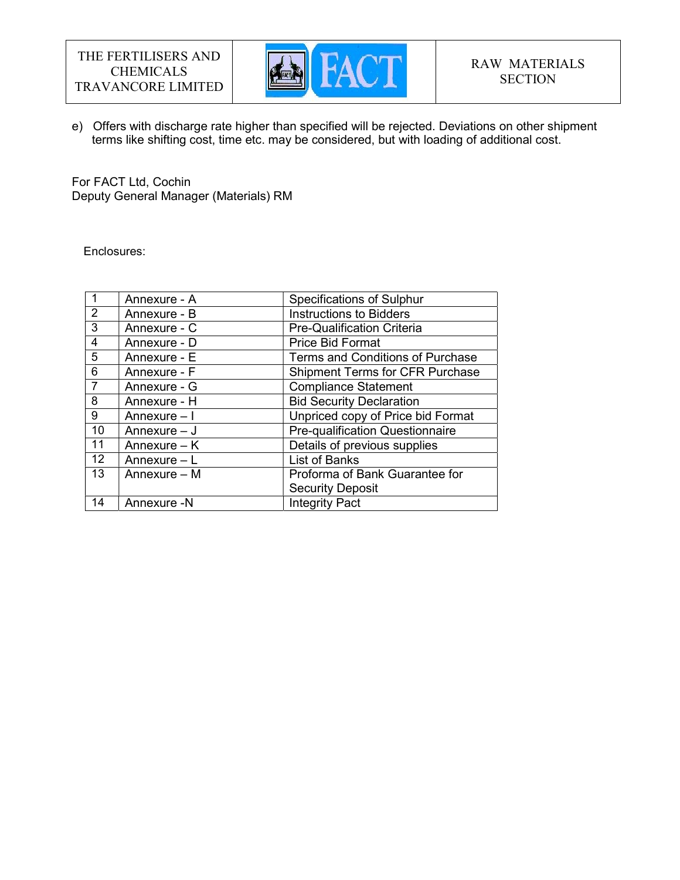

e) Offers with discharge rate higher than specified will be rejected. Deviations on other shipment terms like shifting cost, time etc. may be considered, but with loading of additional cost.

For FACT Ltd, Cochin Deputy General Manager (Materials) RM

Enclosures:

|                 | Annexure - A   | <b>Specifications of Sulphur</b>        |
|-----------------|----------------|-----------------------------------------|
| 2               | Annexure - B   | <b>Instructions to Bidders</b>          |
| 3               | Annexure - C   | <b>Pre-Qualification Criteria</b>       |
| $\overline{4}$  | Annexure - D   | <b>Price Bid Format</b>                 |
| 5               | Annexure - E   | <b>Terms and Conditions of Purchase</b> |
| 6               | Annexure - F   | <b>Shipment Terms for CFR Purchase</b>  |
| 7               | Annexure - G   | <b>Compliance Statement</b>             |
| 8               | Annexure - H   | <b>Bid Security Declaration</b>         |
| 9               | Annexure - I   | Unpriced copy of Price bid Format       |
| 10              | Annexure $-$ J | <b>Pre-qualification Questionnaire</b>  |
| 11              | Annexure $-$ K | Details of previous supplies            |
| 12 <sup>2</sup> | Annexure $- L$ | <b>List of Banks</b>                    |
| 13              | Annexure - M   | Proforma of Bank Guarantee for          |
|                 |                | <b>Security Deposit</b>                 |
| 14              | Annexure -N    | <b>Integrity Pact</b>                   |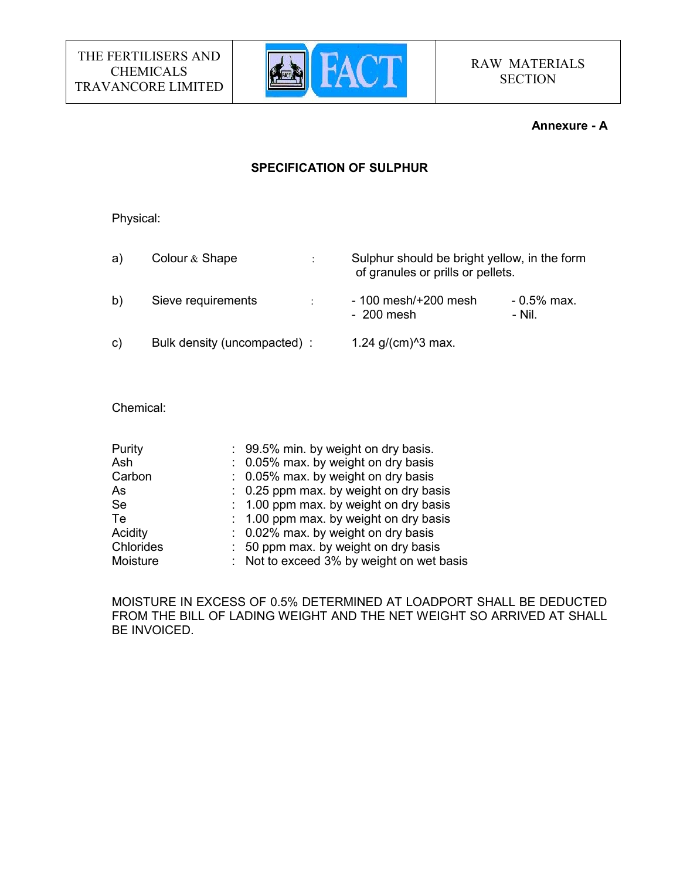

#### Annexure - A

# SPECIFICATION OF SULPHUR

Physical:

a) Colour & Shape : Sulphur should be bright yellow, in the form of granules or prills or pellets. b) Sieve requirements :  $-100$  mesh/+200 mesh - 0.5% max.<br> $-200$  mesh - Nil  $-200$  mesh c) Bulk density (uncompacted) :  $1.24$  g/(cm)<sup> $\textdegree$ 3 max.</sup>

Chemical:

| : 99.5% min. by weight on dry basis.      |
|-------------------------------------------|
| : 0.05% max. by weight on dry basis       |
| : 0.05% max. by weight on dry basis       |
| : 0.25 ppm max. by weight on dry basis    |
| : 1.00 ppm max. by weight on dry basis    |
| : 1.00 ppm max. by weight on dry basis    |
| : 0.02% max. by weight on dry basis       |
| : 50 ppm max. by weight on dry basis      |
| : Not to exceed 3% by weight on wet basis |
|                                           |

MOISTURE IN EXCESS OF 0.5% DETERMINED AT LOADPORT SHALL BE DEDUCTED FROM THE BILL OF LADING WEIGHT AND THE NET WEIGHT SO ARRIVED AT SHALL BE INVOICED.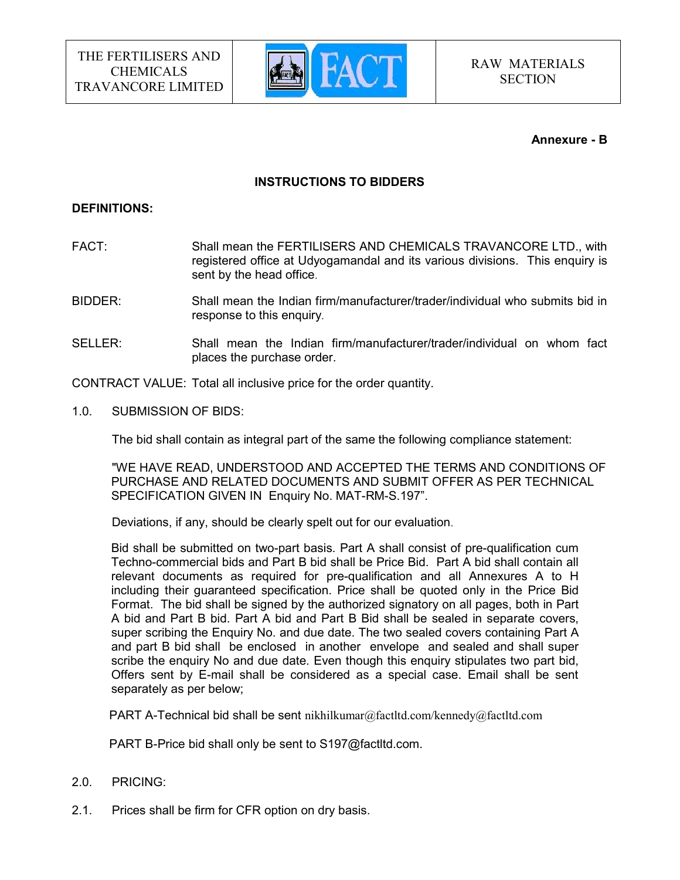

#### Annexure - B

#### INSTRUCTIONS TO BIDDERS

#### DEFINITIONS:

- FACT: Shall mean the FERTILISERS AND CHEMICALS TRAVANCORE LTD., with registered office at Udyogamandal and its various divisions. This enquiry is sent by the head office.
- BIDDER: Shall mean the Indian firm/manufacturer/trader/individual who submits bid in response to this enquiry.
- SELLER: Shall mean the Indian firm/manufacturer/trader/individual on whom fact places the purchase order.

CONTRACT VALUE: Total all inclusive price for the order quantity.

1.0. SUBMISSION OF BIDS:

The bid shall contain as integral part of the same the following compliance statement:

 "WE HAVE READ, UNDERSTOOD AND ACCEPTED THE TERMS AND CONDITIONS OF PURCHASE AND RELATED DOCUMENTS AND SUBMIT OFFER AS PER TECHNICAL SPECIFICATION GIVEN IN Enquiry No. MAT-RM-S.197".

Deviations, if any, should be clearly spelt out for our evaluation.

 Bid shall be submitted on two-part basis. Part A shall consist of pre-qualification cum Techno-commercial bids and Part B bid shall be Price Bid. Part A bid shall contain all relevant documents as required for pre-qualification and all Annexures A to H including their guaranteed specification. Price shall be quoted only in the Price Bid Format. The bid shall be signed by the authorized signatory on all pages, both in Part A bid and Part B bid. Part A bid and Part B Bid shall be sealed in separate covers, super scribing the Enquiry No. and due date. The two sealed covers containing Part A and part B bid shall be enclosed in another envelope and sealed and shall super scribe the enquiry No and due date. Even though this enquiry stipulates two part bid, Offers sent by E-mail shall be considered as a special case. Email shall be sent separately as per below;

PART A-Technical bid shall be sent nikhilkumar@factltd.com/kennedy@factltd.com

PART B-Price bid shall only be sent to S197@factltd.com.

- 2.0. PRICING:
- 2.1. Prices shall be firm for CFR option on dry basis.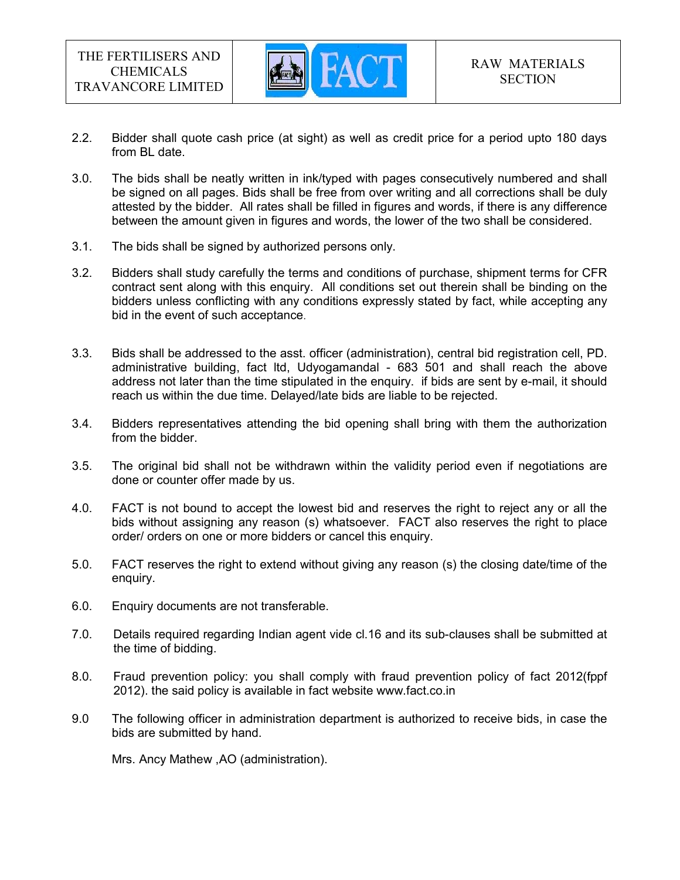

- 2.2. Bidder shall quote cash price (at sight) as well as credit price for a period upto 180 days from BL date.
- 3.0. The bids shall be neatly written in ink/typed with pages consecutively numbered and shall be signed on all pages. Bids shall be free from over writing and all corrections shall be duly attested by the bidder. All rates shall be filled in figures and words, if there is any difference between the amount given in figures and words, the lower of the two shall be considered.
- 3.1. The bids shall be signed by authorized persons only.
- 3.2. Bidders shall study carefully the terms and conditions of purchase, shipment terms for CFR contract sent along with this enquiry. All conditions set out therein shall be binding on the bidders unless conflicting with any conditions expressly stated by fact, while accepting any bid in the event of such acceptance.
- 3.3. Bids shall be addressed to the asst. officer (administration), central bid registration cell, PD. administrative building, fact ltd, Udyogamandal - 683 501 and shall reach the above address not later than the time stipulated in the enquiry. if bids are sent by e-mail, it should reach us within the due time. Delayed/late bids are liable to be rejected.
- 3.4. Bidders representatives attending the bid opening shall bring with them the authorization from the bidder.
- 3.5. The original bid shall not be withdrawn within the validity period even if negotiations are done or counter offer made by us.
- 4.0. FACT is not bound to accept the lowest bid and reserves the right to reject any or all the bids without assigning any reason (s) whatsoever. FACT also reserves the right to place order/ orders on one or more bidders or cancel this enquiry.
- 5.0. FACT reserves the right to extend without giving any reason (s) the closing date/time of the enquiry.
- 6.0. Enquiry documents are not transferable.
- 7.0. Details required regarding Indian agent vide cl.16 and its sub-clauses shall be submitted at the time of bidding.
- 8.0. Fraud prevention policy: you shall comply with fraud prevention policy of fact 2012(fppf 2012). the said policy is available in fact website www.fact.co.in
- 9.0 The following officer in administration department is authorized to receive bids, in case the bids are submitted by hand.

Mrs. Ancy Mathew ,AO (administration).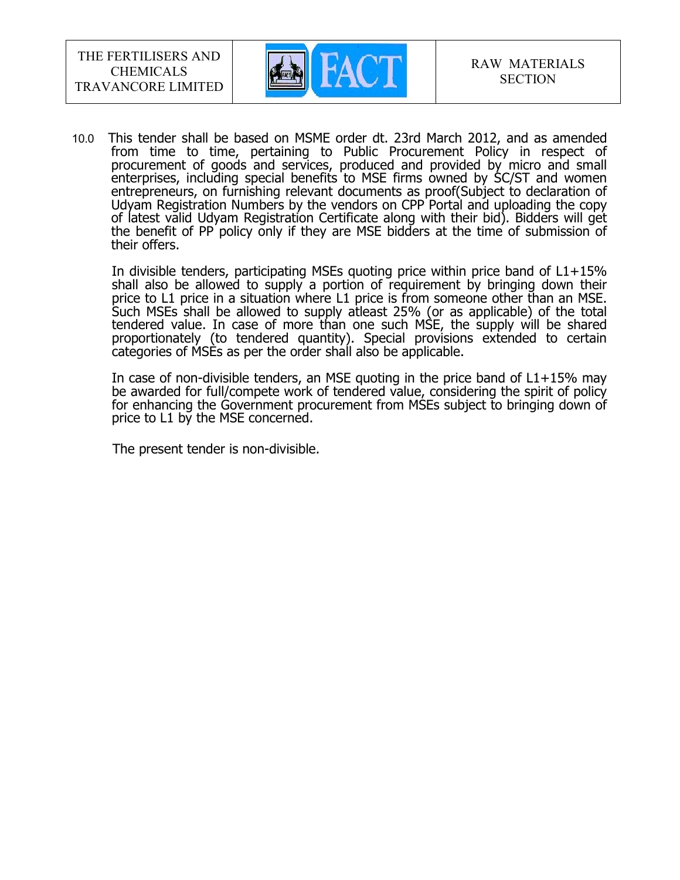

10.0 This tender shall be based on MSME order dt. 23rd March 2012, and as amended from time to time, pertaining to Public Procurement Policy in respect of procurement of goods and services, produced and provided by micro and small enterprises, including special benefits to MSE firms owned by SC/ST and women entrepreneurs, on furnishing relevant documents as proof(Subject to declaration of Udyam Registration Numbers by the vendors on CPP Portal and uploading the copy of latest valid Udyam Registration Certificate along with their bid). Bidders will get the benefit of PP policy only if they are MSE bidders at the time of submission of their offers.

In divisible tenders, participating MSEs quoting price within price band of L1+15% shall also be allowed to supply a portion of requirement by bringing down their price to L1 price in a situation where L1 price is from someone other than an MSE. Such MSEs shall be allowed to supply atleast 25% (or as applicable) of the total tendered value. In case of more than one such MSE, the supply will be shared proportionately (to tendered quantity). Special provisions extended to certain categories of MSEs as per the order shall also be applicable.

In case of non-divisible tenders, an MSE quoting in the price band of  $L1+15%$  may be awarded for full/compete work of tendered value, considering the spirit of policy for enhancing the Government procurement from MSEs subject to bringing down of price to L1 by the MSE concerned.

The present tender is non-divisible.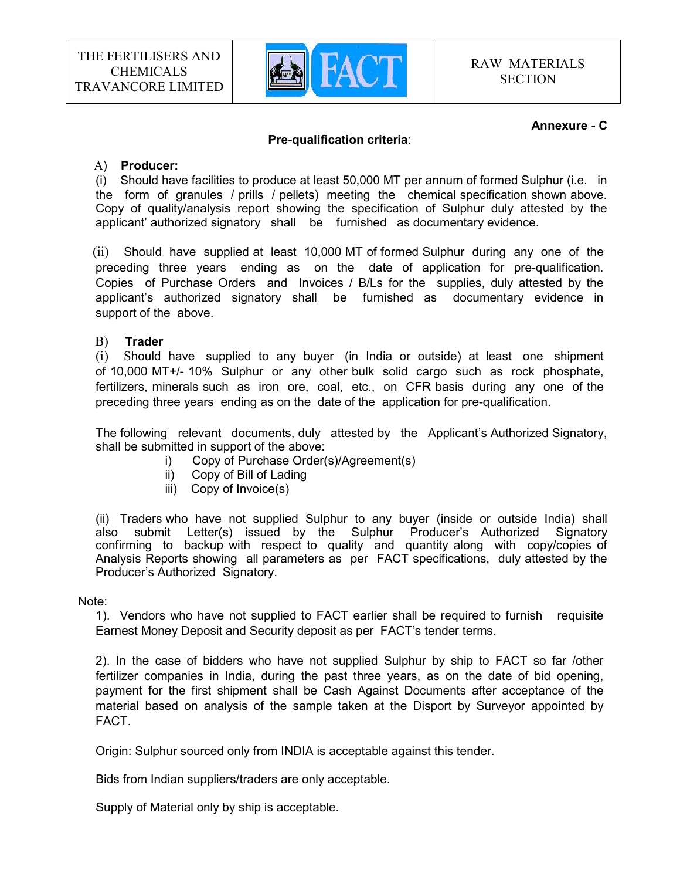

#### Annexure - C

#### Pre-qualification criteria:

#### A) Producer:

(i) Should have facilities to produce at least 50,000 MT per annum of formed Sulphur (i.e. in the form of granules / prills / pellets) meeting the chemical specification shown above. Copy of quality/analysis report showing the specification of Sulphur duly attested by the applicant' authorized signatory shall be furnished as documentary evidence.

 (ii) Should have supplied at least 10,000 MT of formed Sulphur during any one of the preceding three years ending as on the date of application for pre-qualification. Copies of Purchase Orders and Invoices / B/Ls for the supplies, duly attested by the applicant's authorized signatory shall be furnished as documentary evidence in support of the above.

#### B) Trader

(i) Should have supplied to any buyer (in India or outside) at least one shipment of 10,000 MT+/- 10% Sulphur or any other bulk solid cargo such as rock phosphate, fertilizers, minerals such as iron ore, coal, etc., on CFR basis during any one of the preceding three years ending as on the date of the application for pre-qualification.

The following relevant documents, duly attested by the Applicant's Authorized Signatory, shall be submitted in support of the above:

- i) Copy of Purchase Order(s)/Agreement(s)
- ii) Copy of Bill of Lading
- iii) Copy of Invoice(s)

(ii) Traders who have not supplied Sulphur to any buyer (inside or outside India) shall also submit Letter(s) issued by the Sulphur Producer's Authorized Signatory confirming to backup with respect to quality and quantity along with copy/copies of Analysis Reports showing all parameters as per FACT specifications, duly attested by the Producer's Authorized Signatory.

#### Note:

1). Vendors who have not supplied to FACT earlier shall be required to furnish requisite Earnest Money Deposit and Security deposit as per FACT's tender terms.

2). In the case of bidders who have not supplied Sulphur by ship to FACT so far /other fertilizer companies in India, during the past three years, as on the date of bid opening, payment for the first shipment shall be Cash Against Documents after acceptance of the material based on analysis of the sample taken at the Disport by Surveyor appointed by FACT.

Origin: Sulphur sourced only from INDIA is acceptable against this tender.

Bids from Indian suppliers/traders are only acceptable.

Supply of Material only by ship is acceptable.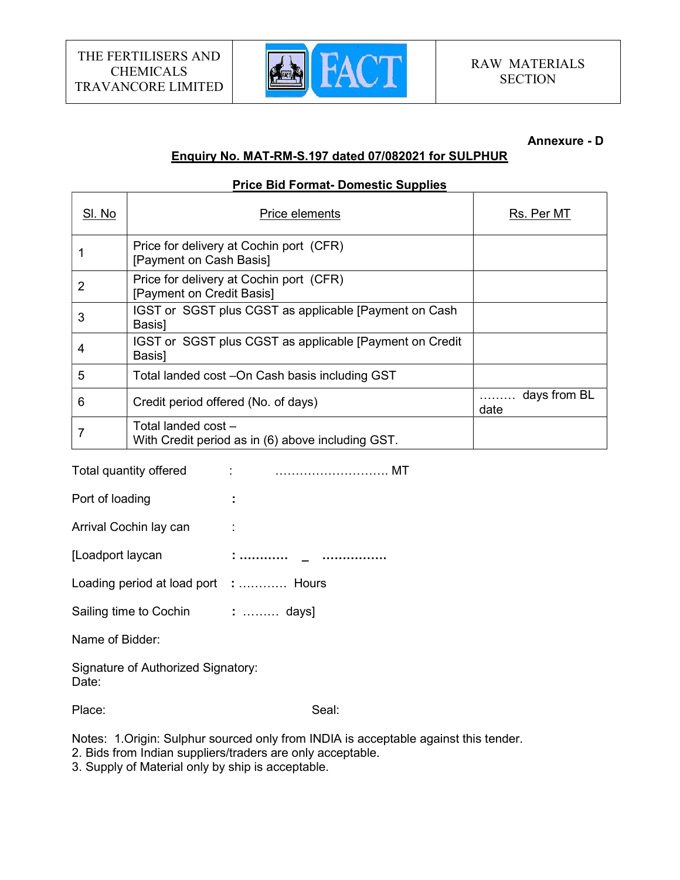T

 $\Gamma$ 



#### Annexure - D

 $\overline{\phantom{a}}$ 

# Enquiry No. MAT-RM-S.197 dated 07/082021 for SULPHUR

#### Price Bid Format- Domestic Supplies

| SI. No | Price elements                                                           | Rs. Per MT           |
|--------|--------------------------------------------------------------------------|----------------------|
|        | Price for delivery at Cochin port (CFR)<br>[Payment on Cash Basis]       |                      |
| 2      | Price for delivery at Cochin port (CFR)<br>[Payment on Credit Basis]     |                      |
| 3      | IGST or SGST plus CGST as applicable [Payment on Cash<br>Basis]          |                      |
| 4      | IGST or SGST plus CGST as applicable [Payment on Credit]<br>Basis]       |                      |
| 5      | Total landed cost -On Cash basis including GST                           |                      |
| 6      | Credit period offered (No. of days)                                      | days from BL<br>date |
|        | Total landed cost –<br>With Credit period as in (6) above including GST. |                      |

Total quantity offered : ………………………. MT

Port of loading the set of the set of the set of the set of the set of the set of the set of the set of the set of the set of the set of the set of the set of the set of the set of the set of the set of the set of the set

Arrival Cochin lay can :

[Loadport laycan : ………… \_ ………………

Loading period at load port : ............ Hours

Sailing time to Cochin : ......... days]

Name of Bidder:

Signature of Authorized Signatory: Date:

Place: Seal: Seal: Seal: Seal: Seal: Seal: Seal: Seal: Seal: Seal: Seal: Seal: Seal: Seal: Seal: Seal: Seal: Seal: Seal: Seal: Seal: Seal: Seal: Seal: Seal: Seal: Seal: Seal: Seal: Seal: Seal: Seal: Seal: Seal: Seal: Seal:

Notes: 1.Origin: Sulphur sourced only from INDIA is acceptable against this tender.

2. Bids from Indian suppliers/traders are only acceptable.

3. Supply of Material only by ship is acceptable.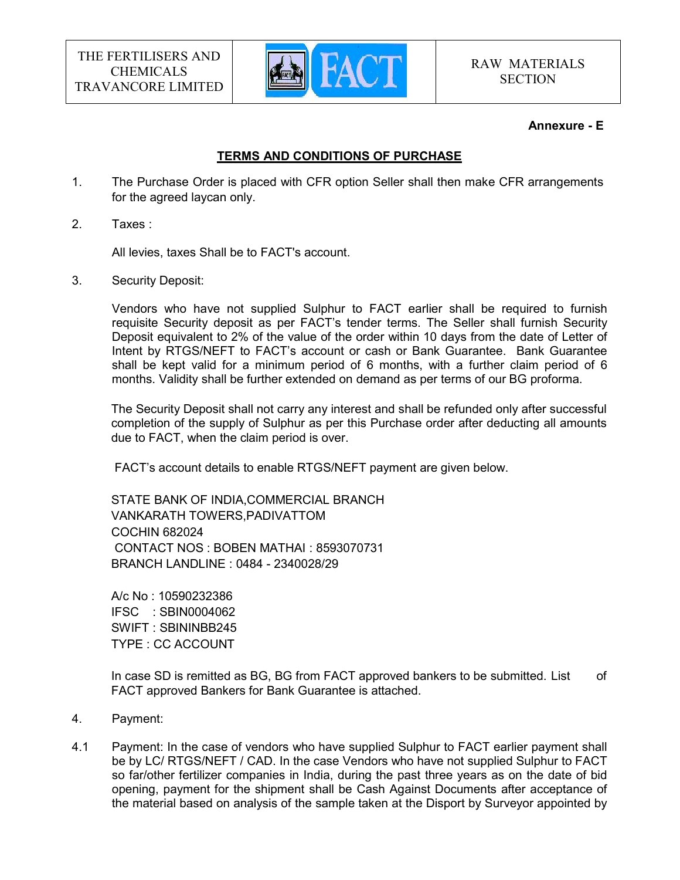

#### Annexure - E

# TERMS AND CONDITIONS OF PURCHASE

- 1. The Purchase Order is placed with CFR option Seller shall then make CFR arrangements for the agreed laycan only.
- 2. Taxes :

All levies, taxes Shall be to FACT's account.

3. Security Deposit:

 Vendors who have not supplied Sulphur to FACT earlier shall be required to furnish requisite Security deposit as per FACT's tender terms. The Seller shall furnish Security Deposit equivalent to 2% of the value of the order within 10 days from the date of Letter of Intent by RTGS/NEFT to FACT's account or cash or Bank Guarantee. Bank Guarantee shall be kept valid for a minimum period of 6 months, with a further claim period of 6 months. Validity shall be further extended on demand as per terms of our BG proforma.

The Security Deposit shall not carry any interest and shall be refunded only after successful completion of the supply of Sulphur as per this Purchase order after deducting all amounts due to FACT, when the claim period is over.

FACT's account details to enable RTGS/NEFT payment are given below.

STATE BANK OF INDIA,COMMERCIAL BRANCH VANKARATH TOWERS,PADIVATTOM COCHIN 682024 CONTACT NOS : BOBEN MATHAI : 8593070731 BRANCH LANDLINE : 0484 - 2340028/29

A/c No : 10590232386 IFSC : SBIN0004062 SWIFT : SBININBB245 TYPE : CC ACCOUNT

In case SD is remitted as BG, BG from FACT approved bankers to be submitted. List of FACT approved Bankers for Bank Guarantee is attached.

- 4. Payment:
- 4.1 Payment: In the case of vendors who have supplied Sulphur to FACT earlier payment shall be by LC/ RTGS/NEFT / CAD. In the case Vendors who have not supplied Sulphur to FACT so far/other fertilizer companies in India, during the past three years as on the date of bid opening, payment for the shipment shall be Cash Against Documents after acceptance of the material based on analysis of the sample taken at the Disport by Surveyor appointed by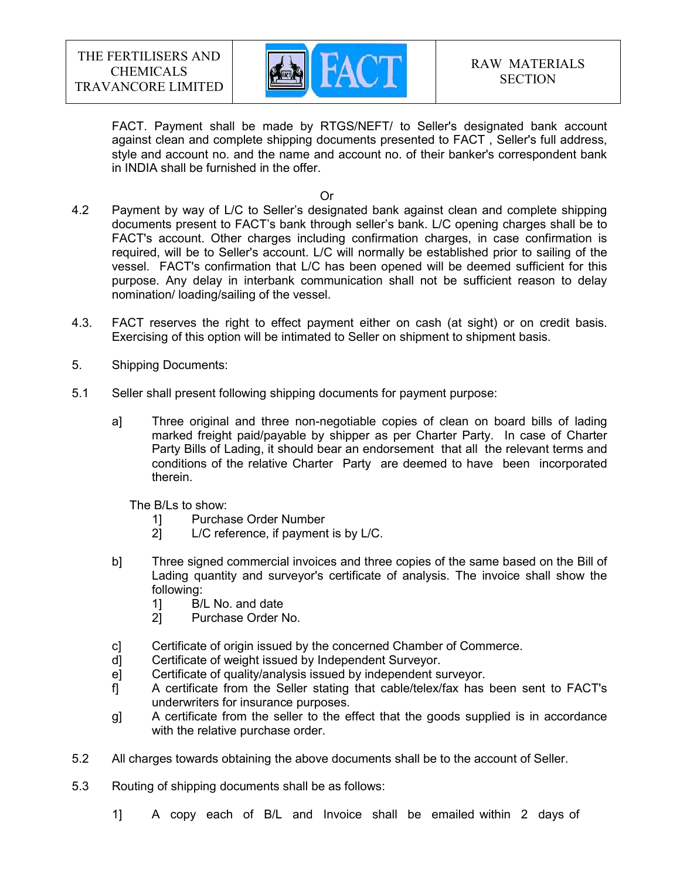

FACT. Payment shall be made by RTGS/NEFT/ to Seller's designated bank account against clean and complete shipping documents presented to FACT , Seller's full address, style and account no. and the name and account no. of their banker's correspondent bank in INDIA shall be furnished in the offer.

**Contract of the Contract of Contract of the Contract of Contract of Contract of Contract of Contract of Contract of Contract of Contract of Contract of Contract of Contract of Contract of Contract of Contract of Contract** 

- 4.2 Payment by way of L/C to Seller's designated bank against clean and complete shipping documents present to FACT's bank through seller's bank. L/C opening charges shall be to FACT's account. Other charges including confirmation charges, in case confirmation is required, will be to Seller's account. L/C will normally be established prior to sailing of the vessel. FACT's confirmation that L/C has been opened will be deemed sufficient for this purpose. Any delay in interbank communication shall not be sufficient reason to delay nomination/ loading/sailing of the vessel.
- 4.3. FACT reserves the right to effect payment either on cash (at sight) or on credit basis. Exercising of this option will be intimated to Seller on shipment to shipment basis.
- 5. Shipping Documents:
- 5.1 Seller shall present following shipping documents for payment purpose:
	- a] Three original and three non-negotiable copies of clean on board bills of lading marked freight paid/payable by shipper as per Charter Party. In case of Charter Party Bills of Lading, it should bear an endorsement that all the relevant terms and conditions of the relative Charter Party are deemed to have been incorporated therein.

The B/Ls to show:

- 1] Purchase Order Number<br>21 L/C reference, if payment
- L/C reference, if payment is by L/C.
- b] Three signed commercial invoices and three copies of the same based on the Bill of Lading quantity and surveyor's certificate of analysis. The invoice shall show the following:
	- 1] B/L No. and date
	- 2] Purchase Order No.
- c] Certificate of origin issued by the concerned Chamber of Commerce.
- d] Certificate of weight issued by Independent Surveyor.
- e] Certificate of quality/analysis issued by independent surveyor.
- f] A certificate from the Seller stating that cable/telex/fax has been sent to FACT's underwriters for insurance purposes.
- g] A certificate from the seller to the effect that the goods supplied is in accordance with the relative purchase order.
- 5.2 All charges towards obtaining the above documents shall be to the account of Seller.
- 5.3 Routing of shipping documents shall be as follows:
	- 1] A copy each of B/L and Invoice shall be emailed within 2 days of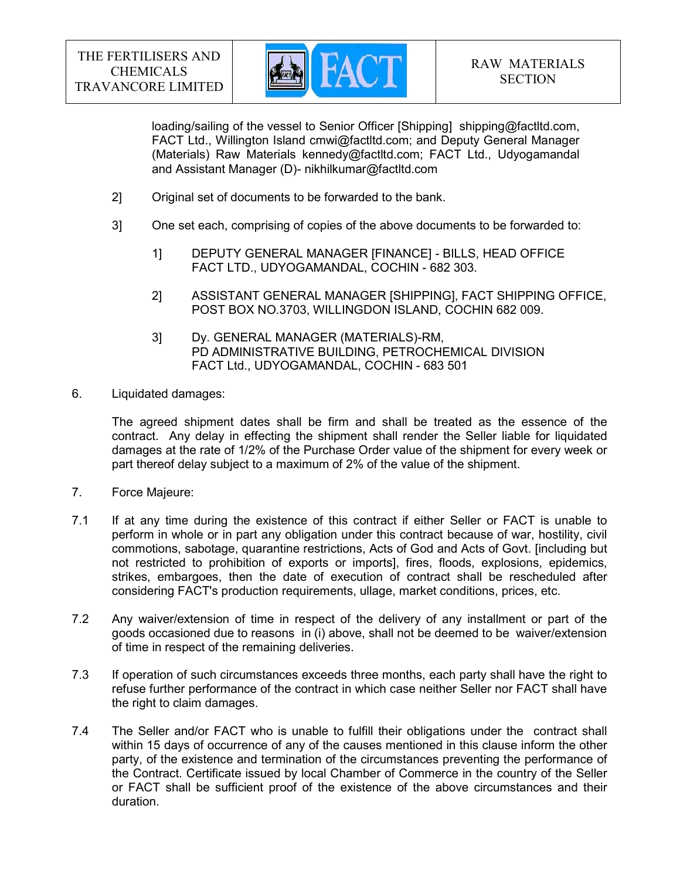

loading/sailing of the vessel to Senior Officer [Shipping] shipping@factltd.com, FACT Ltd., Willington Island cmwi@factltd.com; and Deputy General Manager (Materials) Raw Materials kennedy@factltd.com; FACT Ltd., Udyogamandal and Assistant Manager (D)- nikhilkumar@factltd.com

- 2] Original set of documents to be forwarded to the bank.
- 3] One set each, comprising of copies of the above documents to be forwarded to:
	- 1] DEPUTY GENERAL MANAGER [FINANCE] BILLS, HEAD OFFICE FACT LTD., UDYOGAMANDAL, COCHIN - 682 303.
	- 2] ASSISTANT GENERAL MANAGER [SHIPPING], FACT SHIPPING OFFICE, POST BOX NO.3703, WILLINGDON ISLAND, COCHIN 682 009.
	- 3] Dy. GENERAL MANAGER (MATERIALS)-RM, PD ADMINISTRATIVE BUILDING, PETROCHEMICAL DIVISION FACT Ltd., UDYOGAMANDAL, COCHIN - 683 501
- 6. Liquidated damages:

 The agreed shipment dates shall be firm and shall be treated as the essence of the contract. Any delay in effecting the shipment shall render the Seller liable for liquidated damages at the rate of 1/2% of the Purchase Order value of the shipment for every week or part thereof delay subject to a maximum of 2% of the value of the shipment.

- 7. Force Majeure:
- 7.1 If at any time during the existence of this contract if either Seller or FACT is unable to perform in whole or in part any obligation under this contract because of war, hostility, civil commotions, sabotage, quarantine restrictions, Acts of God and Acts of Govt. [including but not restricted to prohibition of exports or imports], fires, floods, explosions, epidemics, strikes, embargoes, then the date of execution of contract shall be rescheduled after considering FACT's production requirements, ullage, market conditions, prices, etc.
- 7.2 Any waiver/extension of time in respect of the delivery of any installment or part of the goods occasioned due to reasons in (i) above, shall not be deemed to be waiver/extension of time in respect of the remaining deliveries.
- 7.3 If operation of such circumstances exceeds three months, each party shall have the right to refuse further performance of the contract in which case neither Seller nor FACT shall have the right to claim damages.
- 7.4 The Seller and/or FACT who is unable to fulfill their obligations under the contract shall within 15 days of occurrence of any of the causes mentioned in this clause inform the other party, of the existence and termination of the circumstances preventing the performance of the Contract. Certificate issued by local Chamber of Commerce in the country of the Seller or FACT shall be sufficient proof of the existence of the above circumstances and their duration.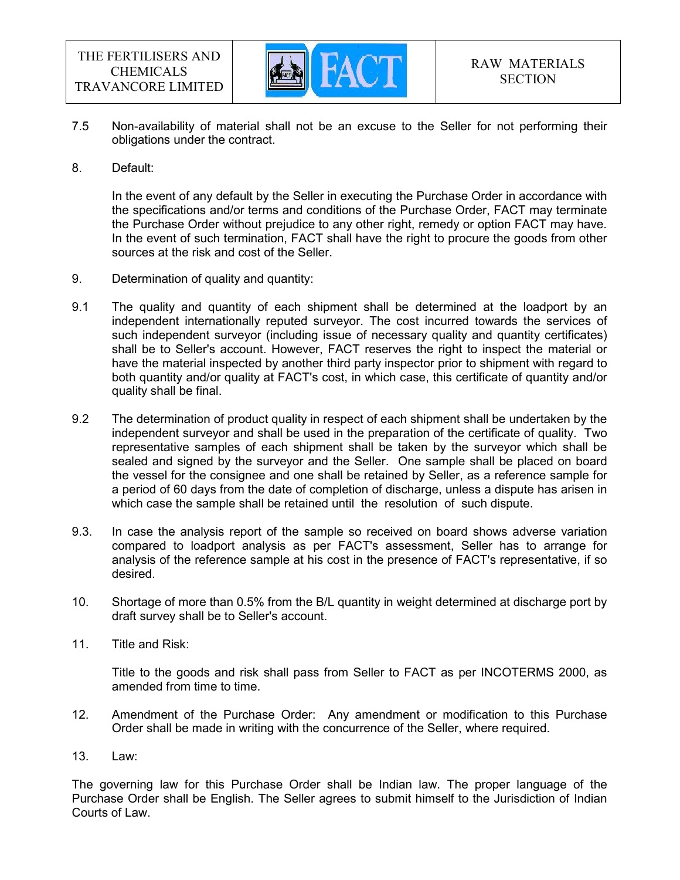

- 7.5 Non-availability of material shall not be an excuse to the Seller for not performing their obligations under the contract.
- 8. Default:

 In the event of any default by the Seller in executing the Purchase Order in accordance with the specifications and/or terms and conditions of the Purchase Order, FACT may terminate the Purchase Order without prejudice to any other right, remedy or option FACT may have. In the event of such termination, FACT shall have the right to procure the goods from other sources at the risk and cost of the Seller.

- 9. Determination of quality and quantity:
- 9.1 The quality and quantity of each shipment shall be determined at the loadport by an independent internationally reputed surveyor. The cost incurred towards the services of such independent surveyor (including issue of necessary quality and quantity certificates) shall be to Seller's account. However, FACT reserves the right to inspect the material or have the material inspected by another third party inspector prior to shipment with regard to both quantity and/or quality at FACT's cost, in which case, this certificate of quantity and/or quality shall be final.
- 9.2 The determination of product quality in respect of each shipment shall be undertaken by the independent surveyor and shall be used in the preparation of the certificate of quality. Two representative samples of each shipment shall be taken by the surveyor which shall be sealed and signed by the surveyor and the Seller. One sample shall be placed on board the vessel for the consignee and one shall be retained by Seller, as a reference sample for a period of 60 days from the date of completion of discharge, unless a dispute has arisen in which case the sample shall be retained until the resolution of such dispute.
- 9.3. In case the analysis report of the sample so received on board shows adverse variation compared to loadport analysis as per FACT's assessment, Seller has to arrange for analysis of the reference sample at his cost in the presence of FACT's representative, if so desired.
- 10. Shortage of more than 0.5% from the B/L quantity in weight determined at discharge port by draft survey shall be to Seller's account.
- 11. Title and Risk:

 Title to the goods and risk shall pass from Seller to FACT as per INCOTERMS 2000, as amended from time to time.

- 12. Amendment of the Purchase Order: Any amendment or modification to this Purchase Order shall be made in writing with the concurrence of the Seller, where required.
- 13. Law:

The governing law for this Purchase Order shall be Indian law. The proper language of the Purchase Order shall be English. The Seller agrees to submit himself to the Jurisdiction of Indian Courts of Law.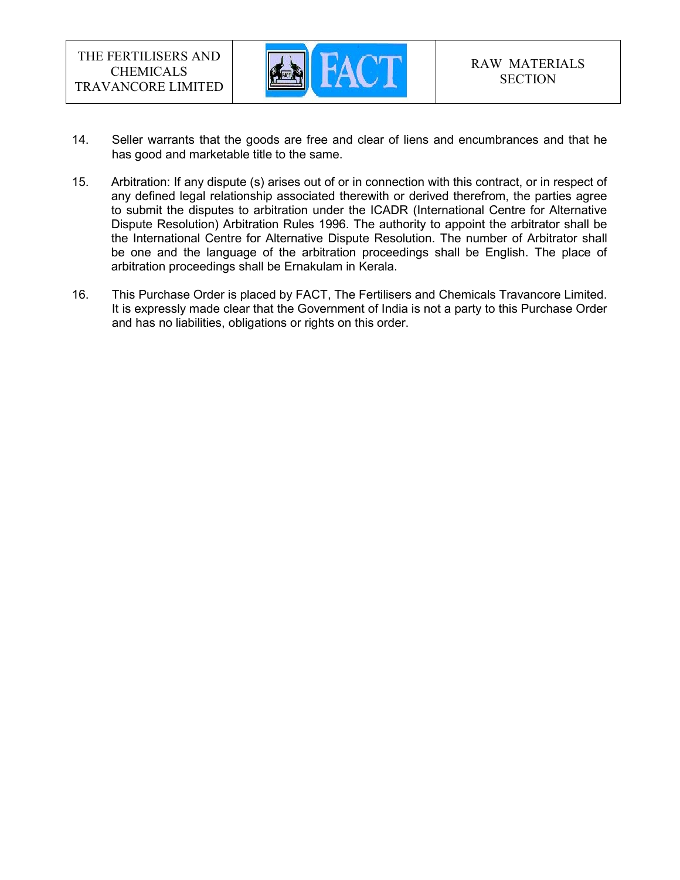

- 14. Seller warrants that the goods are free and clear of liens and encumbrances and that he has good and marketable title to the same.
- 15. Arbitration: If any dispute (s) arises out of or in connection with this contract, or in respect of any defined legal relationship associated therewith or derived therefrom, the parties agree to submit the disputes to arbitration under the ICADR (International Centre for Alternative Dispute Resolution) Arbitration Rules 1996. The authority to appoint the arbitrator shall be the International Centre for Alternative Dispute Resolution. The number of Arbitrator shall be one and the language of the arbitration proceedings shall be English. The place of arbitration proceedings shall be Ernakulam in Kerala.
- 16. This Purchase Order is placed by FACT, The Fertilisers and Chemicals Travancore Limited. It is expressly made clear that the Government of India is not a party to this Purchase Order and has no liabilities, obligations or rights on this order.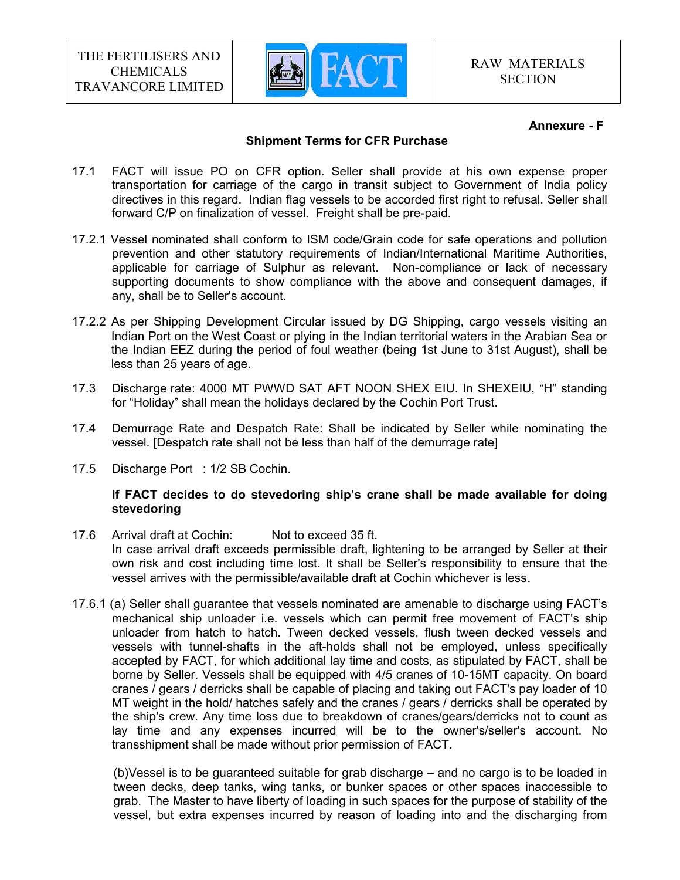

#### Annexure - F

#### Shipment Terms for CFR Purchase

- 17.1 FACT will issue PO on CFR option. Seller shall provide at his own expense proper transportation for carriage of the cargo in transit subject to Government of India policy directives in this regard. Indian flag vessels to be accorded first right to refusal. Seller shall forward C/P on finalization of vessel. Freight shall be pre-paid.
- 17.2.1 Vessel nominated shall conform to ISM code/Grain code for safe operations and pollution prevention and other statutory requirements of Indian/International Maritime Authorities, applicable for carriage of Sulphur as relevant. Non-compliance or lack of necessary supporting documents to show compliance with the above and consequent damages, if any, shall be to Seller's account.
- 17.2.2 As per Shipping Development Circular issued by DG Shipping, cargo vessels visiting an Indian Port on the West Coast or plying in the Indian territorial waters in the Arabian Sea or the Indian EEZ during the period of foul weather (being 1st June to 31st August), shall be less than 25 years of age.
- 17.3 Discharge rate : 4000 MT PWWD SAT AFT NOON SHEX EIU. In SHEXEIU, "H" standing for "Holiday" shall mean the holidays declared by the Cochin Port Trust.
- 17.4 Demurrage Rate and Despatch Rate: Shall be indicated by Seller while nominating the vessel. [Despatch rate shall not be less than half of the demurrage rate]
- 17.5 Discharge Port : 1/2 SB Cochin.

#### If FACT decides to do stevedoring ship's crane shall be made available for doing stevedoring

- 17.6 Arrival draft at Cochin: Not to exceed 35 ft. In case arrival draft exceeds permissible draft, lightening to be arranged by Seller at their own risk and cost including time lost. It shall be Seller's responsibility to ensure that the vessel arrives with the permissible/available draft at Cochin whichever is less.
- 17.6.1 (a) Seller shall guarantee that vessels nominated are amenable to discharge using FACT's mechanical ship unloader i.e. vessels which can permit free movement of FACT's ship unloader from hatch to hatch. Tween decked vessels, flush tween decked vessels and vessels with tunnel-shafts in the aft-holds shall not be employed, unless specifically accepted by FACT, for which additional lay time and costs, as stipulated by FACT, shall be borne by Seller. Vessels shall be equipped with 4/5 cranes of 10-15MT capacity. On board cranes / gears / derricks shall be capable of placing and taking out FACT's pay loader of 10 MT weight in the hold/ hatches safely and the cranes / gears / derricks shall be operated by the ship's crew. Any time loss due to breakdown of cranes/gears/derricks not to count as lay time and any expenses incurred will be to the owner's/seller's account. No transshipment shall be made without prior permission of FACT.

(b)Vessel is to be guaranteed suitable for grab discharge – and no cargo is to be loaded in tween decks, deep tanks, wing tanks, or bunker spaces or other spaces inaccessible to grab. The Master to have liberty of loading in such spaces for the purpose of stability of the vessel, but extra expenses incurred by reason of loading into and the discharging from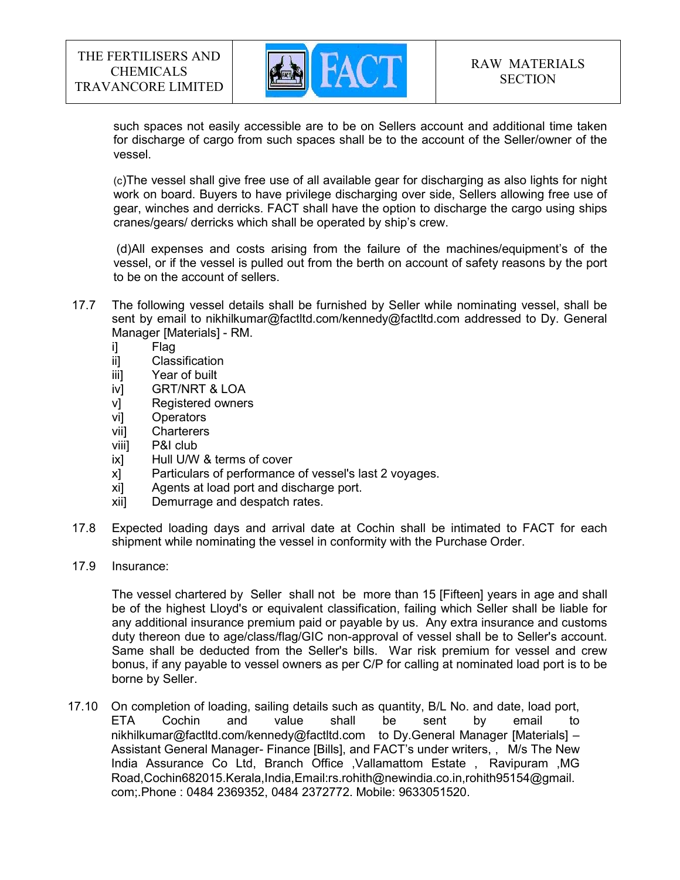

such spaces not easily accessible are to be on Sellers account and additional time taken for discharge of cargo from such spaces shall be to the account of the Seller/owner of the vessel.

(c)The vessel shall give free use of all available gear for discharging as also lights for night work on board. Buyers to have privilege discharging over side, Sellers allowing free use of gear, winches and derricks. FACT shall have the option to discharge the cargo using ships cranes/gears/ derricks which shall be operated by ship's crew.

(d)All expenses and costs arising from the failure of the machines/equipment's of the vessel, or if the vessel is pulled out from the berth on account of safety reasons by the port to be on the account of sellers.

- 17.7 The following vessel details shall be furnished by Seller while nominating vessel, shall be sent by email to nikhilkumar@factltd.com/kennedy@factltd.com addressed to Dy. General Manager [Materials] - RM.
	- i] Flag
	- ii] Classification
	- iii] Year of built
	- iv] GRT/NRT & LOA
	- v] Registered owners
	- vi] Operators
	- vii] Charterers
	- viii] P&I club
	- ix] Hull U/W & terms of cover
	- x] Particulars of performance of vessel's last 2 voyages.
	- xi] Agents at load port and discharge port.
	- xii] Demurrage and despatch rates.
- 17.8 Expected loading days and arrival date at Cochin shall be intimated to FACT for each shipment while nominating the vessel in conformity with the Purchase Order.
- 17.9 Insurance:

 The vessel chartered by Seller shall not be more than 15 [Fifteen] years in age and shall be of the highest Lloyd's or equivalent classification, failing which Seller shall be liable for any additional insurance premium paid or payable by us. Any extra insurance and customs duty thereon due to age/class/flag/GIC non-approval of vessel shall be to Seller's account. Same shall be deducted from the Seller's bills. War risk premium for vessel and crew bonus, if any payable to vessel owners as per C/P for calling at nominated load port is to be borne by Seller.

 17.10 On completion of loading, sailing details such as quantity, B/L No. and date, load port, ETA Cochin and value shall be sent by email to nikhilkumar@factltd.com/kennedy@factltd.com to Dy.General Manager [Materials] – Assistant General Manager- Finance [Bills], and FACT's under writers, , M/s The New India Assurance Co Ltd, Branch Office ,Vallamattom Estate , Ravipuram ,MG Road,Cochin682015.Kerala,India,Email:rs.rohith@newindia.co.in,rohith95154@gmail. com;.Phone : 0484 2369352, 0484 2372772. Mobile: 9633051520.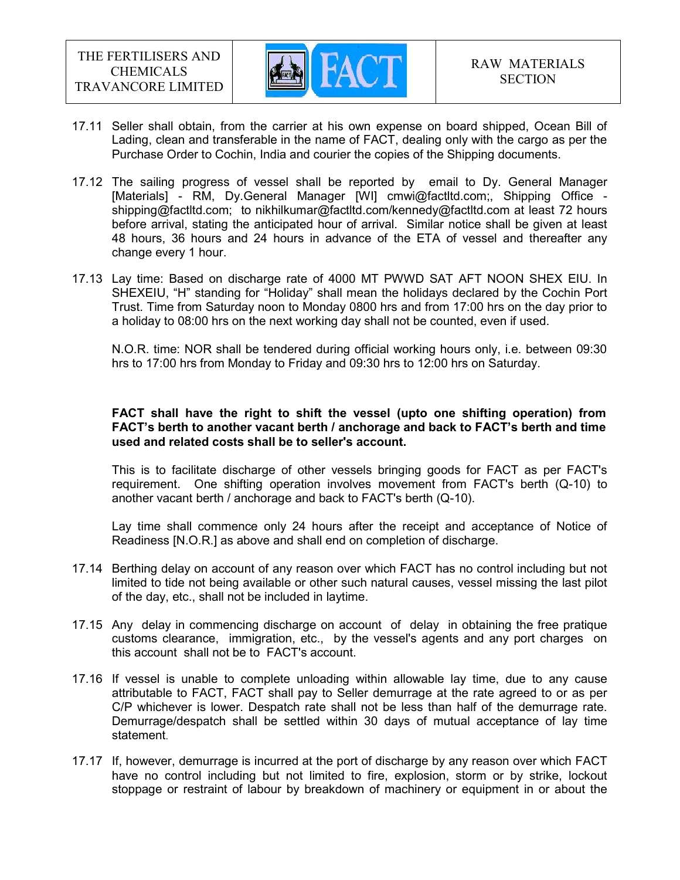

- 17.11 Seller shall obtain, from the carrier at his own expense on board shipped, Ocean Bill of Lading, clean and transferable in the name of FACT, dealing only with the cargo as per the Purchase Order to Cochin, India and courier the copies of the Shipping documents.
- 17.12 The sailing progress of vessel shall be reported by email to Dy. General Manager [Materials] - RM, Dy.General Manager [WI] cmwi@factltd.com;, Shipping Office shipping@factltd.com; to nikhilkumar@factltd.com/kennedy@factltd.com at least 72 hours before arrival, stating the anticipated hour of arrival. Similar notice shall be given at least 48 hours, 36 hours and 24 hours in advance of the ETA of vessel and thereafter any change every 1 hour.
- 17.13 Lay time: Based on discharge rate of 4000 MT PWWD SAT AFT NOON SHEX EIU. In SHEXEIU, "H" standing for "Holiday" shall mean the holidays declared by the Cochin Port Trust. Time from Saturday noon to Monday 0800 hrs and from 17:00 hrs on the day prior to a holiday to 08:00 hrs on the next working day shall not be counted, even if used.

N.O.R. time: NOR shall be tendered during official working hours only, i.e. between 09:30 hrs to 17:00 hrs from Monday to Friday and 09:30 hrs to 12:00 hrs on Saturday.

#### FACT shall have the right to shift the vessel (upto one shifting operation) from FACT's berth to another vacant berth / anchorage and back to FACT's berth and time used and related costs shall be to seller's account.

This is to facilitate discharge of other vessels bringing goods for FACT as per FACT's requirement. One shifting operation involves movement from FACT's berth (Q-10) to another vacant berth / anchorage and back to FACT's berth (Q-10).

Lay time shall commence only 24 hours after the receipt and acceptance of Notice of Readiness [N.O.R.] as above and shall end on completion of discharge.

- 17.14 Berthing delay on account of any reason over which FACT has no control including but not limited to tide not being available or other such natural causes, vessel missing the last pilot of the day, etc., shall not be included in laytime.
- 17.15 Any delay in commencing discharge on account of delay in obtaining the free pratique customs clearance, immigration, etc., by the vessel's agents and any port charges on this account shall not be to FACT's account.
- 17.16 If vessel is unable to complete unloading within allowable lay time, due to any cause attributable to FACT, FACT shall pay to Seller demurrage at the rate agreed to or as per C/P whichever is lower. Despatch rate shall not be less than half of the demurrage rate. Demurrage/despatch shall be settled within 30 days of mutual acceptance of lay time statement.
- 17.17 If, however, demurrage is incurred at the port of discharge by any reason over which FACT have no control including but not limited to fire, explosion, storm or by strike, lockout stoppage or restraint of labour by breakdown of machinery or equipment in or about the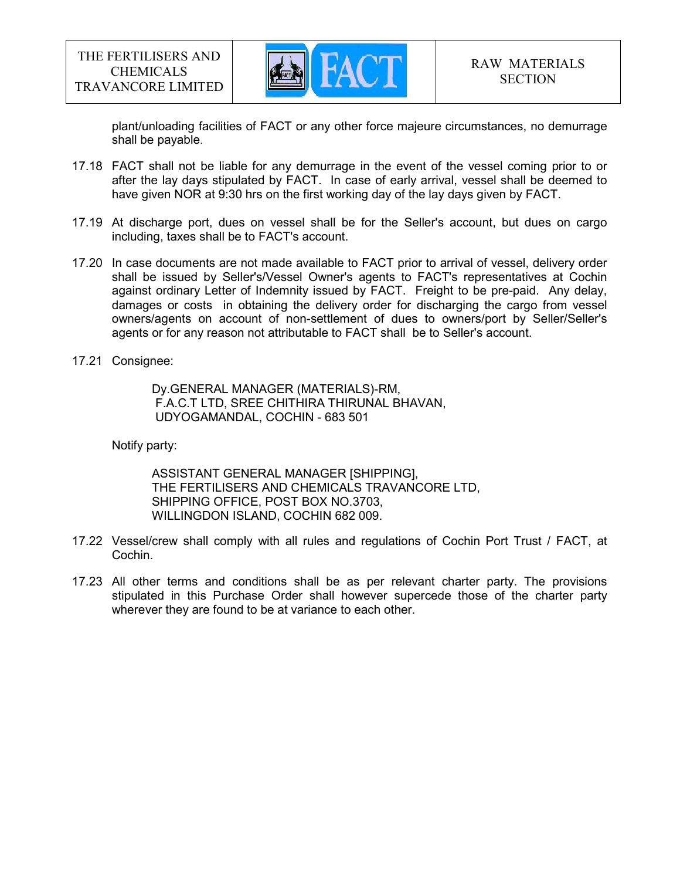

plant/unloading facilities of FACT or any other force majeure circumstances, no demurrage shall be payable.

- 17.18 FACT shall not be liable for any demurrage in the event of the vessel coming prior to or after the lay days stipulated by FACT. In case of early arrival, vessel shall be deemed to have given NOR at 9:30 hrs on the first working day of the lay days given by FACT.
- 17.19 At discharge port, dues on vessel shall be for the Seller's account, but dues on cargo including, taxes shall be to FACT's account.
- 17.20 In case documents are not made available to FACT prior to arrival of vessel, delivery order shall be issued by Seller's/Vessel Owner's agents to FACT's representatives at Cochin against ordinary Letter of Indemnity issued by FACT. Freight to be pre-paid. Any delay, damages or costs in obtaining the delivery order for discharging the cargo from vessel owners/agents on account of non-settlement of dues to owners/port by Seller/Seller's agents or for any reason not attributable to FACT shall be to Seller's account.
- 17.21 Consignee:

 Dy.GENERAL MANAGER (MATERIALS)-RM, F.A.C.T LTD, SREE CHITHIRA THIRUNAL BHAVAN, UDYOGAMANDAL, COCHIN - 683 501

Notify party:

 ASSISTANT GENERAL MANAGER [SHIPPING], THE FERTILISERS AND CHEMICALS TRAVANCORE LTD, SHIPPING OFFICE, POST BOX NO.3703, WILLINGDON ISLAND, COCHIN 682 009.

- 17.22 Vessel/crew shall comply with all rules and regulations of Cochin Port Trust / FACT, at Cochin.
- 17.23 All other terms and conditions shall be as per relevant charter party. The provisions stipulated in this Purchase Order shall however supercede those of the charter party wherever they are found to be at variance to each other.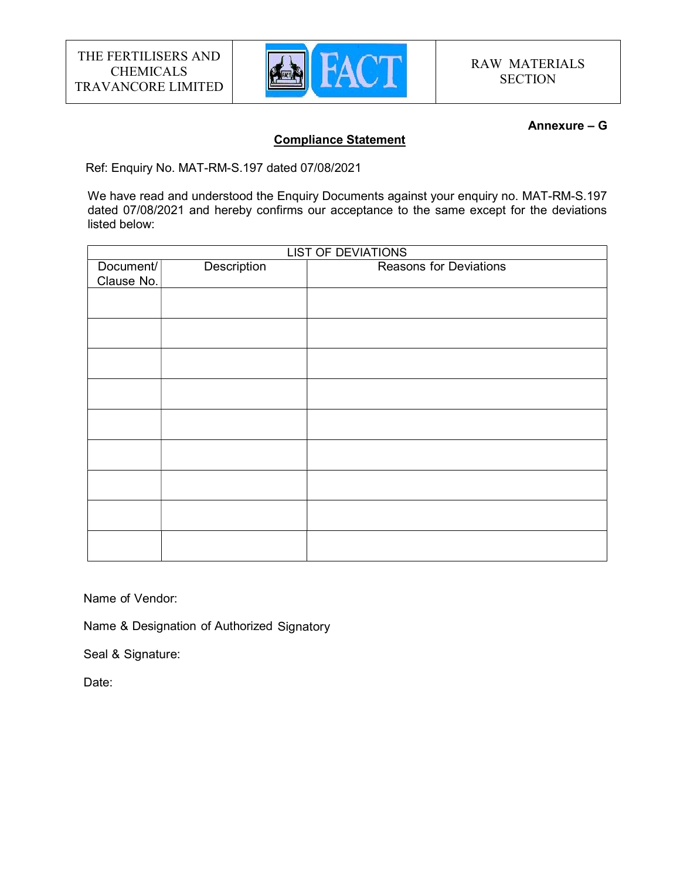

#### Annexure – G

#### Compliance Statement

Ref: Enquiry No. MAT-RM-S.197 dated 07/08/2021

We have read and understood the Enquiry Documents against your enquiry no. MAT-RM-S.197 dated 07/08/2021 and hereby confirms our acceptance to the same except for the deviations listed below:

|                         |                    | <b>LIST OF DEVIATIONS</b>     |  |
|-------------------------|--------------------|-------------------------------|--|
| Document/<br>Clause No. | <b>Description</b> | <b>Reasons for Deviations</b> |  |
|                         |                    |                               |  |
|                         |                    |                               |  |
|                         |                    |                               |  |
|                         |                    |                               |  |
|                         |                    |                               |  |
|                         |                    |                               |  |
|                         |                    |                               |  |
|                         |                    |                               |  |
|                         |                    |                               |  |
|                         |                    |                               |  |

Name of Vendor:

Name & Designation of Authorized Signatory

Seal & Signature:

Date: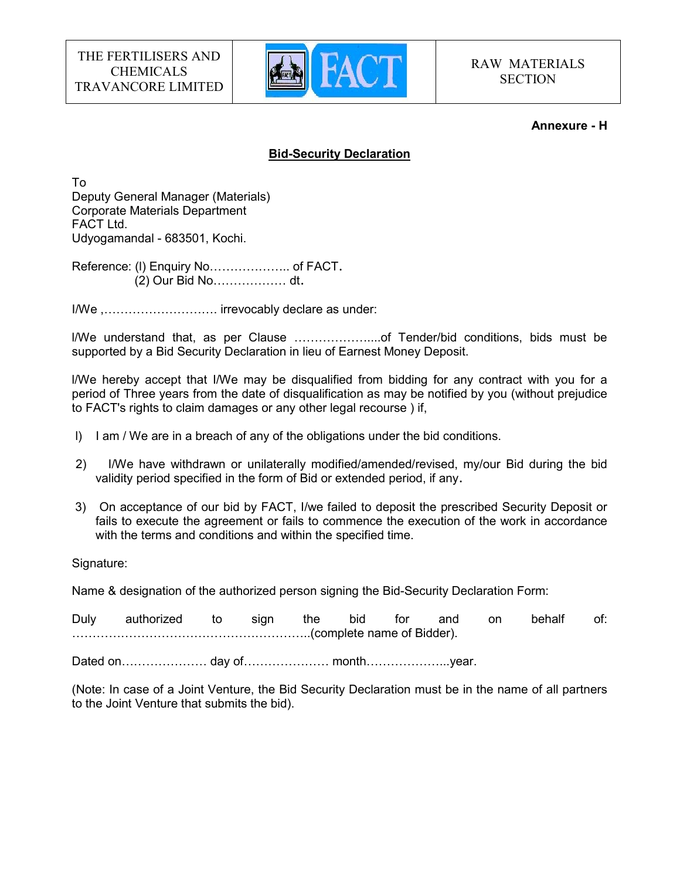

#### Annexure - H

### Bid-Security Declaration

To Deputy General Manager (Materials) Corporate Materials Department FACT Ltd. Udyogamandal - 683501, Kochi.

Reference: (l) Enquiry No……………….. of FACT. (2) Our Bid No……………… dt.

I/We ,………………………. irrevocably declare as under:

l/We understand that, as per Clause ………………....of Tender/bid conditions, bids must be supported by a Bid Security Declaration in lieu of Earnest Money Deposit.

l/We hereby accept that I/We may be disqualified from bidding for any contract with you for a period of Three years from the date of disqualification as may be notified by you (without prejudice to FACT's rights to claim damages or any other legal recourse ) if,

- l) I am / We are in a breach of any of the obligations under the bid conditions.
- 2) I/We have withdrawn or unilaterally modified/amended/revised, my/our Bid during the bid validity period specified in the form of Bid or extended period, if any.
- 3) On acceptance of our bid by FACT, I/we failed to deposit the prescribed Security Deposit or fails to execute the agreement or fails to commence the execution of the work in accordance with the terms and conditions and within the specified time.

Signature:

Name & designation of the authorized person signing the Bid-Security Declaration Form:

Duly authorized to sign the bid for and on behalf of: …………………………………………………..(complete name of Bidder).

Dated on………………… day of………………… month………………...year.

(Note: In case of a Joint Venture, the Bid Security Declaration must be in the name of all partners to the Joint Venture that submits the bid).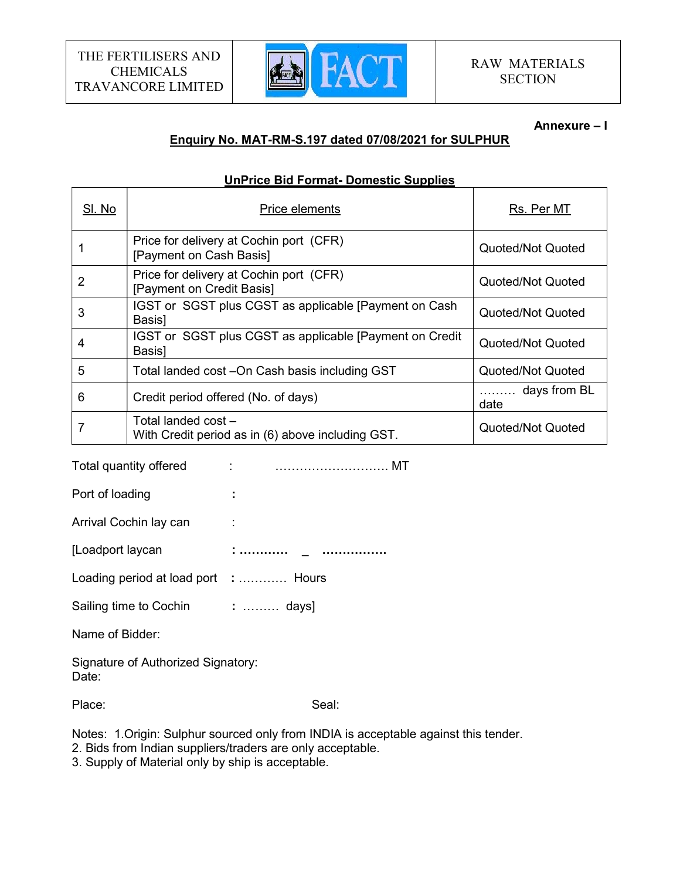

#### Annexure – I

# Enquiry No. MAT-RM-S.197 dated 07/08/2021 for SULPHUR

#### UnPrice Bid Format- Domestic Supplies

| SI. No | Price elements                                                           | Rs. Per MT                |
|--------|--------------------------------------------------------------------------|---------------------------|
|        | Price for delivery at Cochin port (CFR)<br>[Payment on Cash Basis]       | Quoted/Not Quoted         |
| 2      | Price for delivery at Cochin port (CFR)<br>[Payment on Credit Basis]     | Quoted/Not Quoted         |
| 3      | IGST or SGST plus CGST as applicable [Payment on Cash<br>Basis]          | Quoted/Not Quoted         |
| 4      | IGST or SGST plus CGST as applicable [Payment on Credit]<br>Basis]       | Quoted/Not Quoted         |
| 5      | Total landed cost -On Cash basis including GST                           | Quoted/Not Quoted         |
| 6      | Credit period offered (No. of days)                                      | days from BL<br>.<br>date |
| 7      | Total landed cost -<br>With Credit period as in (6) above including GST. | Quoted/Not Quoted         |

Total quantity offered : ………………………. MT

Port of loading the set of state in the set of the set of the set of the set of the set of the set of the set o

Arrival Cochin lay can :

[Loadport laycan : ………… \_ …………….

Loading period at load port : ............ Hours

Sailing time to Cochin : ......... days]

Name of Bidder:

Signature of Authorized Signatory: Date:

Place: Seal: Seal: Seal: Seal: Seal: Seal: Seal: Seal: Seal: Seal: Seal: Seal: Seal: Seal: Seal: Seal: Seal: Seal: Seal: Seal: Seal: Seal: Seal: Seal: Seal: Seal: Seal: Seal: Seal: Seal: Seal: Seal: Seal: Seal: Seal: Seal:

Notes: 1.Origin: Sulphur sourced only from INDIA is acceptable against this tender.

2. Bids from Indian suppliers/traders are only acceptable.

3. Supply of Material only by ship is acceptable.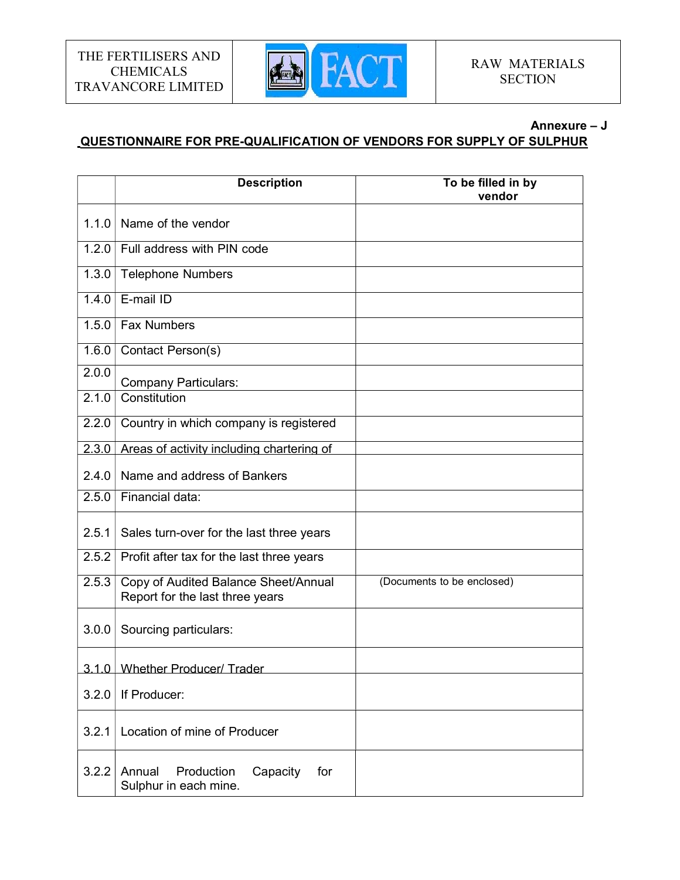

#### Annexure – J

# QUESTIONNAIRE FOR PRE-QUALIFICATION OF VENDORS FOR SUPPLY OF SULPHUR

|       | <b>Description</b>                                                      | To be filled in by<br>vendor |
|-------|-------------------------------------------------------------------------|------------------------------|
| 1.1.0 | Name of the vendor                                                      |                              |
| 1.2.0 | Full address with PIN code                                              |                              |
| 1.3.0 | <b>Telephone Numbers</b>                                                |                              |
| 1.4.0 | E-mail ID                                                               |                              |
| 1.5.0 | <b>Fax Numbers</b>                                                      |                              |
| 1.6.0 | Contact Person(s)                                                       |                              |
| 2.0.0 | <b>Company Particulars:</b>                                             |                              |
| 2.1.0 | Constitution                                                            |                              |
| 2.2.0 | Country in which company is registered                                  |                              |
| 2.3.0 | Areas of activity including chartering of                               |                              |
| 2.4.0 | Name and address of Bankers                                             |                              |
| 2.5.0 | Financial data:                                                         |                              |
| 2.5.1 | Sales turn-over for the last three years                                |                              |
| 2.5.2 | Profit after tax for the last three years                               |                              |
| 2.5.3 | Copy of Audited Balance Sheet/Annual<br>Report for the last three years | (Documents to be enclosed)   |
| 3.0.0 | Sourcing particulars:                                                   |                              |
|       | 3.1.0 Whether Producer/Trader                                           |                              |
| 3.2.0 | If Producer:                                                            |                              |
| 3.2.1 | Location of mine of Producer                                            |                              |
| 3.2.2 | Production<br>Capacity<br>Annual<br>for<br>Sulphur in each mine.        |                              |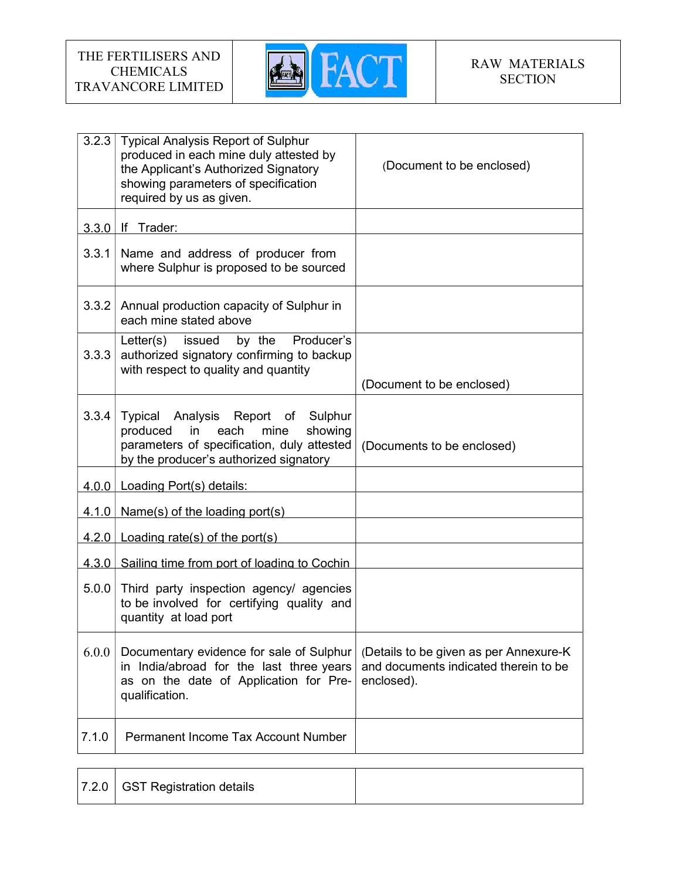

| 3.2.3 | <b>Typical Analysis Report of Sulphur</b><br>produced in each mine duly attested by<br>the Applicant's Authorized Signatory<br>showing parameters of specification<br>required by us as given. | (Document to be enclosed)                                                                      |
|-------|------------------------------------------------------------------------------------------------------------------------------------------------------------------------------------------------|------------------------------------------------------------------------------------------------|
| 3.3.0 | If Trader:                                                                                                                                                                                     |                                                                                                |
| 3.3.1 | Name and address of producer from<br>where Sulphur is proposed to be sourced                                                                                                                   |                                                                                                |
| 3.3.2 | Annual production capacity of Sulphur in<br>each mine stated above                                                                                                                             |                                                                                                |
| 3.3.3 | Producer's<br>by the<br>Letter(s)<br>issued<br>authorized signatory confirming to backup<br>with respect to quality and quantity                                                               | (Document to be enclosed)                                                                      |
| 3.3.4 | Typical Analysis Report of Sulphur<br>showing<br>produced<br>in<br>each<br>mine<br>parameters of specification, duly attested<br>by the producer's authorized signatory                        | (Documents to be enclosed)                                                                     |
|       | 4.0.0   Loading Port(s) details:                                                                                                                                                               |                                                                                                |
|       | $4.1.0$ Name(s) of the loading port(s)                                                                                                                                                         |                                                                                                |
|       | $4.2.0$ Loading rate(s) of the port(s)                                                                                                                                                         |                                                                                                |
|       | 4.3.0 Sailing time from port of loading to Cochin                                                                                                                                              |                                                                                                |
| 5.0.0 | Third party inspection agency/ agencies<br>to be involved for certifying quality and<br>quantity at load port                                                                                  |                                                                                                |
| 6.0.0 | Documentary evidence for sale of Sulphur<br>in India/abroad for the last three years<br>as on the date of Application for Pre-<br>qualification.                                               | (Details to be given as per Annexure-K)<br>and documents indicated therein to be<br>enclosed). |
| 7.1.0 | <b>Permanent Income Tax Account Number</b>                                                                                                                                                     |                                                                                                |

|  | 7.2.0 GST Registration details |  |
|--|--------------------------------|--|
|--|--------------------------------|--|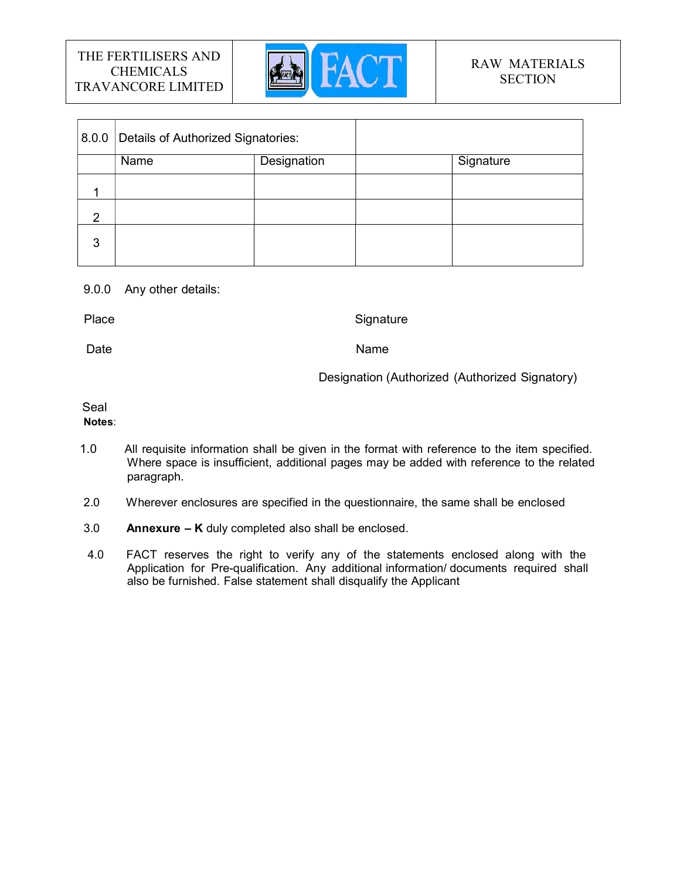

|   | 8.0.0 Details of Authorized Signatories: |             |           |
|---|------------------------------------------|-------------|-----------|
|   | Name                                     | Designation | Signature |
|   |                                          |             |           |
| 2 |                                          |             |           |
| 3 |                                          |             |           |

#### 9.0.0 Any other details:

Place **Signature** Signature Signature **Signature** 

Date **Name Name Name Name** 

Designation (Authorized (Authorized Signatory)

# Seal

# Notes:

- 1.0 All requisite information shall be given in the format with reference to the item specified. Where space is insufficient, additional pages may be added with reference to the related paragraph.
- 2.0 Wherever enclosures are specified in the questionnaire, the same shall be enclosed
- 3.0 **Annexure K** duly completed also shall be enclosed.
- 4.0 FACT reserves the right to verify any of the statements enclosed along with the Application for Pre-qualification. Any additional information/ documents required shall also be furnished. False statement shall disqualify the Applicant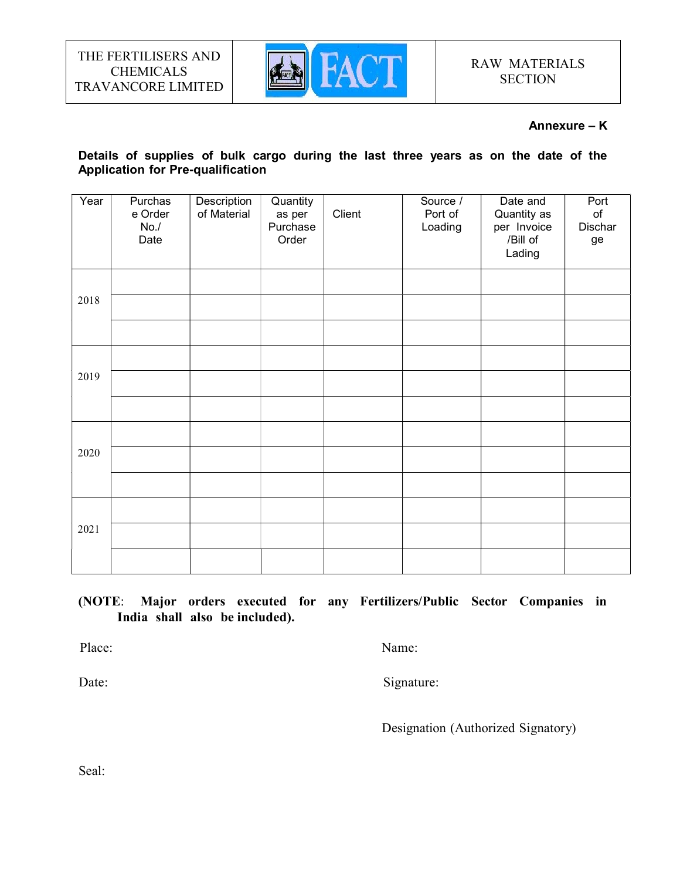

#### Annexure – K

# Details of supplies of bulk cargo during the last three years as on the date of the Application for Pre-qualification

| Year<br>Description<br>Quantity<br>Purchas<br>of Material<br>e Order<br>as per<br>No. /<br>Purchase<br>Date<br>Order | Client | Source /<br>Port of<br>Loading | Date and<br>Quantity as<br>per Invoice<br>/Bill of<br>Lading | Port<br>$\mathsf{of}$<br>Dischar<br>ge |
|----------------------------------------------------------------------------------------------------------------------|--------|--------------------------------|--------------------------------------------------------------|----------------------------------------|
| 2018                                                                                                                 |        |                                |                                                              |                                        |
| 2019                                                                                                                 |        |                                |                                                              |                                        |
| 2020                                                                                                                 |        |                                |                                                              |                                        |
| 2021                                                                                                                 |        |                                |                                                              |                                        |

# (NOTE: Major orders executed for any Fertilizers/Public Sector Companies in India shall also be included).

Place: Name: Name: Name: Name: Name: Name: Name: Name: Name: Name: Name: Name: Name: Name: Name: Name: Name: Name: Name:  $\frac{1}{2}$ 

Date: Signature:

Designation (Authorized Signatory)

Seal: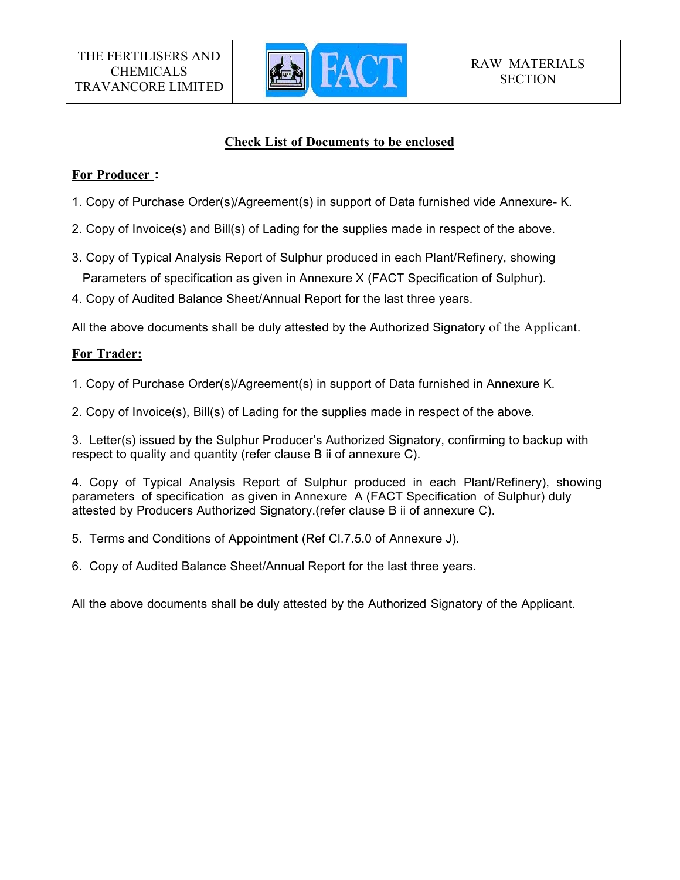

# Check List of Documents to be enclosed

# For Producer :

- 1. Copy of Purchase Order(s)/Agreement(s) in support of Data furnished vide Annexure- K.
- 2. Copy of Invoice(s) and Bill(s) of Lading for the supplies made in respect of the above.
- 3. Copy of Typical Analysis Report of Sulphur produced in each Plant/Refinery, showing Parameters of specification as given in Annexure X (FACT Specification of Sulphur).
- 4. Copy of Audited Balance Sheet/Annual Report for the last three years.

All the above documents shall be duly attested by the Authorized Signatory of the Applicant.

# For Trader:

- 1. Copy of Purchase Order(s)/Agreement(s) in support of Data furnished in Annexure K.
- 2. Copy of Invoice(s), Bill(s) of Lading for the supplies made in respect of the above.

3. Letter(s) issued by the Sulphur Producer's Authorized Signatory, confirming to backup with respect to quality and quantity (refer clause B ii of annexure C).

4. Copy of Typical Analysis Report of Sulphur produced in each Plant/Refinery), showing parameters of specification as given in Annexure A (FACT Specification of Sulphur) duly attested by Producers Authorized Signatory.(refer clause B ii of annexure C).

- 5. Terms and Conditions of Appointment (Ref Cl.7.5.0 of Annexure J).
- 6. Copy of Audited Balance Sheet/Annual Report for the last three years.

All the above documents shall be duly attested by the Authorized Signatory of the Applicant.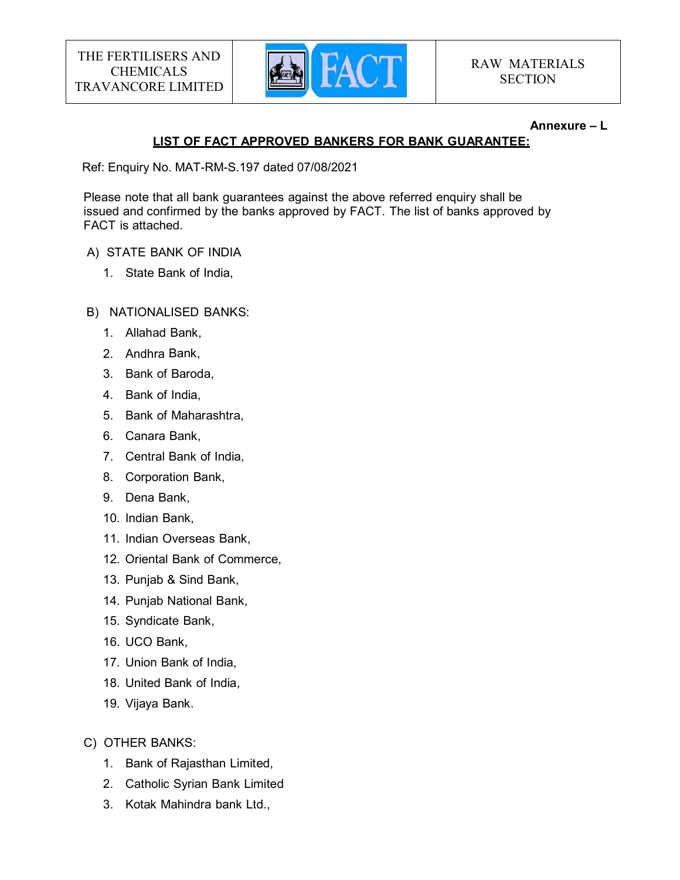

#### Annexure – L

# LIST OF FACT APPROVED BANKERS FOR BANK GUARANTEE:

Ref: Enquiry No. MAT-RM-S.197 dated 07/08/2021

Please note that all bank guarantees against the above referred enquiry shall be issued and confirmed by the banks approved by FACT. The list of banks approved by FACT is attached.

# A) STATE BANK OF INDIA

- 1. State Bank of India,
- B) NATIONALISED BANKS:
	- 1. Allahad Bank,
	- 2. Andhra Bank,
	- 3. Bank of Baroda,
	- 4. Bank of India,
	- 5. Bank of Maharashtra,
	- 6. Canara Bank,
	- 7. Central Bank of India,
	- 8. Corporation Bank,
	- 9. Dena Bank,
	- 10. Indian Bank,
	- 11. Indian Overseas Bank,
	- 12. Oriental Bank of Commerce,
	- 13. Punjab & Sind Bank,
	- 14. Punjab National Bank,
	- 15. Syndicate Bank,
	- 16. UCO Bank,
	- 17. Union Bank of India,
	- 18. United Bank of India,
	- 19. Vijaya Bank.
- C) OTHER BANKS:
	- 1. Bank of Rajasthan Limited,
	- 2. Catholic Syrian Bank Limited
	- 3. Kotak Mahindra bank Ltd.,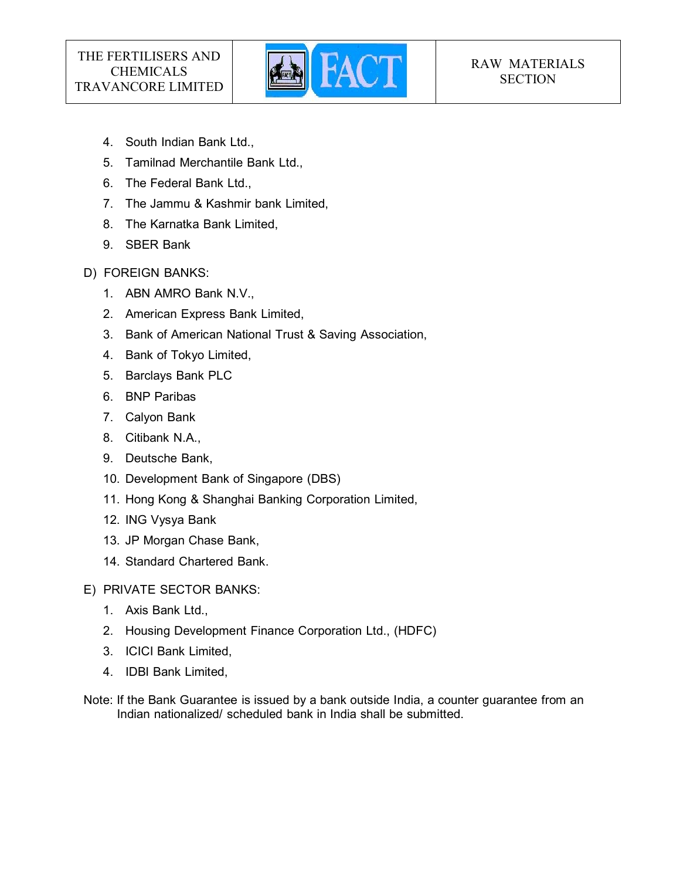

- 4. South Indian Bank Ltd.,
- 5. Tamilnad Merchantile Bank Ltd.,
- 6. The Federal Bank Ltd.,
- 7. The Jammu & Kashmir bank Limited,
- 8. The Karnatka Bank Limited,
- 9. SBER Bank
- D) FOREIGN BANKS:
	- 1. ABN AMRO Bank N.V.,
	- 2. American Express Bank Limited,
	- 3. Bank of American National Trust & Saving Association,
	- 4. Bank of Tokyo Limited,
	- 5. Barclays Bank PLC
	- 6. BNP Paribas
	- 7. Calyon Bank
	- 8. Citibank N.A.,
	- 9. Deutsche Bank,
	- 10. Development Bank of Singapore (DBS)
	- 11. Hong Kong & Shanghai Banking Corporation Limited,
	- 12. ING Vysya Bank
	- 13. JP Morgan Chase Bank,
	- 14. Standard Chartered Bank.
- E) PRIVATE SECTOR BANKS:
	- 1. Axis Bank Ltd.,
	- 2. Housing Development Finance Corporation Ltd., (HDFC)
	- 3. ICICI Bank Limited,
	- 4. IDBI Bank Limited,
- Note: If the Bank Guarantee is issued by a bank outside India, a counter guarantee from an Indian nationalized/ scheduled bank in India shall be submitted.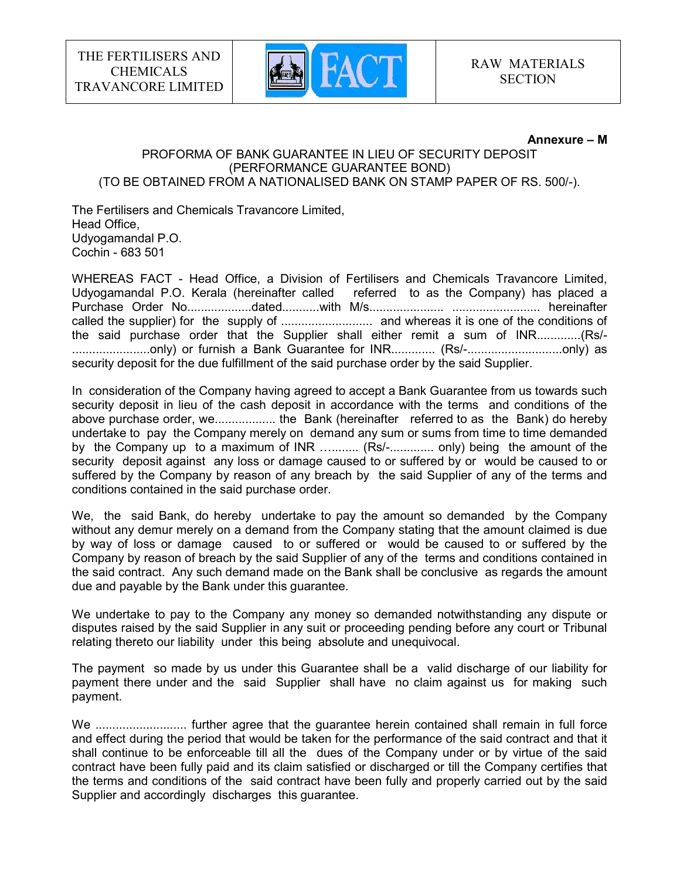

#### Annexure – M

#### PROFORMA OF BANK GUARANTEE IN LIEU OF SECURITY DEPOSIT (PERFORMANCE GUARANTEE BOND) (TO BE OBTAINED FROM A NATIONALISED BANK ON STAMP PAPER OF RS. 500/-).

The Fertilisers and Chemicals Travancore Limited, Head Office, Udyogamandal P.O. Cochin - 683 501

WHEREAS FACT - Head Office, a Division of Fertilisers and Chemicals Travancore Limited, Udyogamandal P.O. Kerala (hereinafter called referred to as the Company) has placed a Purchase Order No...................dated...........with M/s...................... .......................... hereinafter called the supplier) for the supply of ........................... and whereas it is one of the conditions of the said purchase order that the Supplier shall either remit a sum of INR.............(Rs/- .......................only) or furnish a Bank Guarantee for INR............. (Rs/-............................only) as security deposit for the due fulfillment of the said purchase order by the said Supplier.

In consideration of the Company having agreed to accept a Bank Guarantee from us towards such security deposit in lieu of the cash deposit in accordance with the terms and conditions of the above purchase order, we.................. the Bank (hereinafter referred to as the Bank) do hereby undertake to pay the Company merely on demand any sum or sums from time to time demanded by the Company up to a maximum of INR ........... (Rs/-.............. only) being the amount of the security deposit against any loss or damage caused to or suffered by or would be caused to or suffered by the Company by reason of any breach by the said Supplier of any of the terms and conditions contained in the said purchase order.

We, the said Bank, do hereby undertake to pay the amount so demanded by the Company without any demur merely on a demand from the Company stating that the amount claimed is due by way of loss or damage caused to or suffered or would be caused to or suffered by the Company by reason of breach by the said Supplier of any of the terms and conditions contained in the said contract. Any such demand made on the Bank shall be conclusive as regards the amount due and payable by the Bank under this guarantee.

We undertake to pay to the Company any money so demanded notwithstanding any dispute or disputes raised by the said Supplier in any suit or proceeding pending before any court or Tribunal relating thereto our liability under this being absolute and unequivocal.

The payment so made by us under this Guarantee shall be a valid discharge of our liability for payment there under and the said Supplier shall have no claim against us for making such payment.

We ........................... further agree that the guarantee herein contained shall remain in full force and effect during the period that would be taken for the performance of the said contract and that it shall continue to be enforceable till all the dues of the Company under or by virtue of the said contract have been fully paid and its claim satisfied or discharged or till the Company certifies that the terms and conditions of the said contract have been fully and properly carried out by the said Supplier and accordingly discharges this guarantee.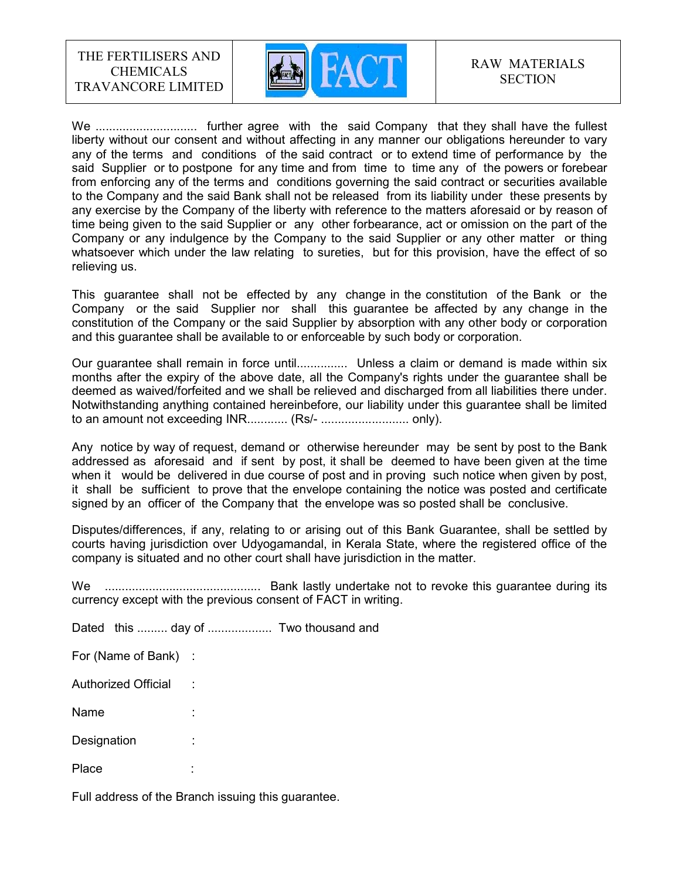

We .............................. further agree with the said Company that they shall have the fullest liberty without our consent and without affecting in any manner our obligations hereunder to vary any of the terms and conditions of the said contract or to extend time of performance by the said Supplier or to postpone for any time and from time to time any of the powers or forebear from enforcing any of the terms and conditions governing the said contract or securities available to the Company and the said Bank shall not be released from its liability under these presents by any exercise by the Company of the liberty with reference to the matters aforesaid or by reason of time being given to the said Supplier or any other forbearance, act or omission on the part of the Company or any indulgence by the Company to the said Supplier or any other matter or thing whatsoever which under the law relating to sureties, but for this provision, have the effect of so relieving us.

This guarantee shall not be effected by any change in the constitution of the Bank or the Company or the said Supplier nor shall this guarantee be affected by any change in the constitution of the Company or the said Supplier by absorption with any other body or corporation and this guarantee shall be available to or enforceable by such body or corporation.

Our guarantee shall remain in force until................ Unless a claim or demand is made within six months after the expiry of the above date, all the Company's rights under the guarantee shall be deemed as waived/forfeited and we shall be relieved and discharged from all liabilities there under. Notwithstanding anything contained hereinbefore, our liability under this guarantee shall be limited to an amount not exceeding INR............ (Rs/- .......................... only).

Any notice by way of request, demand or otherwise hereunder may be sent by post to the Bank addressed as aforesaid and if sent by post, it shall be deemed to have been given at the time when it would be delivered in due course of post and in proving such notice when given by post, it shall be sufficient to prove that the envelope containing the notice was posted and certificate signed by an officer of the Company that the envelope was so posted shall be conclusive.

Disputes/differences, if any, relating to or arising out of this Bank Guarantee, shall be settled by courts having jurisdiction over Udyogamandal, in Kerala State, where the registered office of the company is situated and no other court shall have jurisdiction in the matter.

We .............................................. Bank lastly undertake not to revoke this guarantee during its currency except with the previous consent of FACT in writing.

Dated this ......... day of ................... Two thousand and

For (Name of Bank) :

Authorized Official :

Name : :

Designation :

Place : :

Full address of the Branch issuing this guarantee.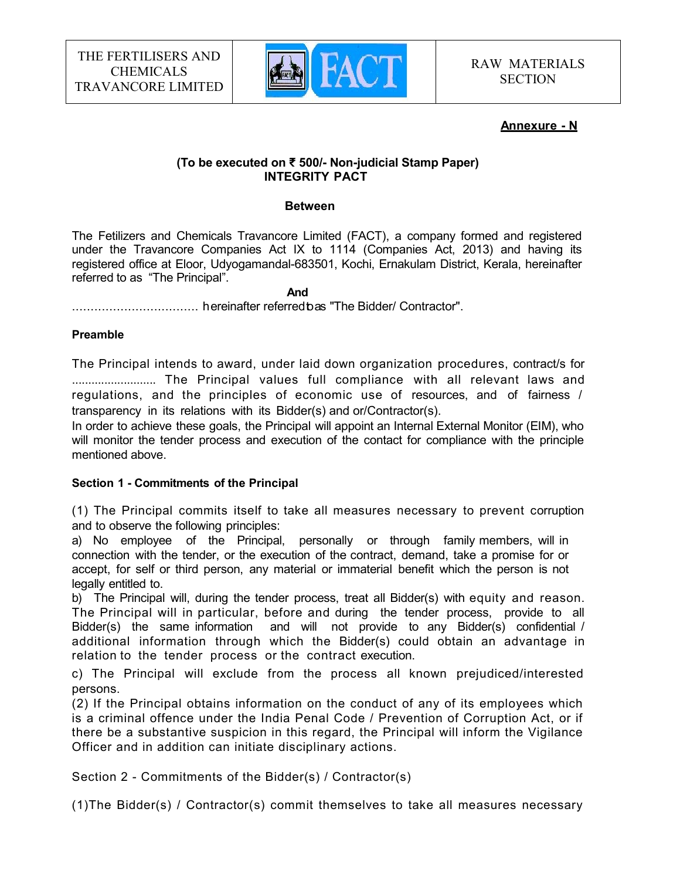

#### Annexure - N

#### (To be executed on ₹ 500/- Non-judicial Stamp Paper) INTEGRITY PACT

#### **Between**

The Fetilizers and Chemicals Travancore Limited (FACT), a company formed and registered under the Travancore Companies Act IX to 1114 (Companies Act, 2013) and having its registered office at Eloor, Udyogamandal-683501, Kochi, Ernakulam District, Kerala, hereinafter referred to as "The Principal".

#### **And And And And And And And And And And And And And And And And And And And And And And And And And And And And And And A**

.................................. hereinafter referred to as "The Bidder/ Contractor".

#### Preamble

The Principal intends to award, under laid down organization procedures, contract/s for .......................... The Principal values full compliance with all relevant laws and regulations, and the principles of economic use of resources, and of fairness / transparency in its relations with its Bidder(s) and or/Contractor(s).

In order to achieve these goals, the Principal will appoint an Internal External Monitor (EIM), who will monitor the tender process and execution of the contact for compliance with the principle mentioned above.

#### Section 1 - Commitments of the Principal

(1) The Principal commits itself to take all measures necessary to prevent corruption and to observe the following principles:

a) No employee of the Principal, personally or through family members, will in connection with the tender, or the execution of the contract, demand, take a promise for or accept, for self or third person, any material or immaterial benefit which the person is not legally entitled to.

b) The Principal will, during the tender process, treat all Bidder(s) with equity and reason. The Principal will in particular, before and during the tender process, provide to all Bidder(s) the same information and will not provide to any Bidder(s) confidential / additional information through which the Bidder(s) could obtain an advantage in relation to the tender process or the contract execution.

c) The Principal will exclude from the process all known prejudiced/interested persons.

(2) If the Principal obtains information on the conduct of any of its employees which is a criminal offence under the India Penal Code / Prevention of Corruption Act, or if there be a substantive suspicion in this regard, the Principal will inform the Vigilance Officer and in addition can initiate disciplinary actions.

Section 2 - Commitments of the Bidder(s) / Contractor(s)

(1)The Bidder(s) / Contractor(s) commit themselves to take all measures necessary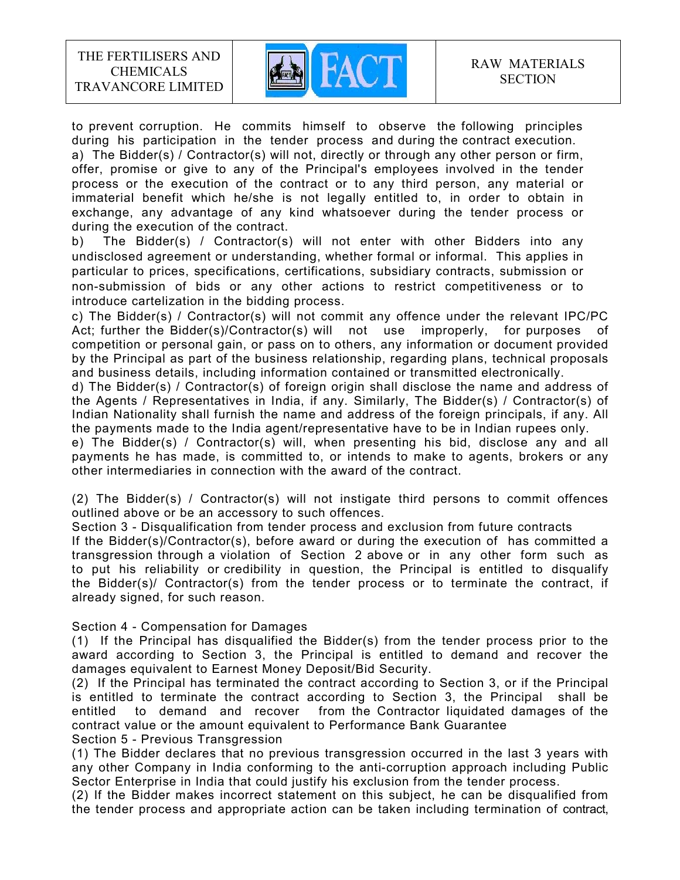

to prevent corruption. He commits himself to observe the following principles during his participation in the tender process and during the contract execution. a) The Bidder(s) / Contractor(s) will not, directly or through any other person or firm, offer, promise or give to any of the Principal's employees involved in the tender process or the execution of the contract or to any third person, any material or immaterial benefit which he/she is not legally entitled to, in order to obtain in exchange, any advantage of any kind whatsoever during the tender process or during the execution of the contract.

b) The Bidder(s) / Contractor(s) will not enter with other Bidders into any undisclosed agreement or understanding, whether formal or informal. This applies in particular to prices, specifications, certifications, subsidiary contracts, submission or non-submission of bids or any other actions to restrict competitiveness or to introduce cartelization in the bidding process.

c) The Bidder(s) / Contractor(s) will not commit any offence under the relevant IPC/PC Act; further the Bidder(s)/Contractor(s) will not use improperly, for purposes of competition or personal gain, or pass on to others, any information or document provided by the Principal as part of the business relationship, regarding plans, technical proposals and business details, including information contained or transmitted electronically.

d) The Bidder(s) / Contractor(s) of foreign origin shall disclose the name and address of the Agents / Representatives in India, if any. Similarly, The Bidder(s) / Contractor(s) of Indian Nationality shall furnish the name and address of the foreign principals, if any. All the payments made to the India agent/representative have to be in Indian rupees only.

e) The Bidder(s) / Contractor(s) will, when presenting his bid, disclose any and all payments he has made, is committed to, or intends to make to agents, brokers or any other intermediaries in connection with the award of the contract.

(2) The Bidder(s) / Contractor(s) will not instigate third persons to commit offences outlined above or be an accessory to such offences.

Section 3 - Disqualification from tender process and exclusion from future contracts

If the Bidder(s)/Contractor(s), before award or during the execution of has committed a transgression through a violation of Section 2 above or in any other form such as to put his reliability or credibility in question, the Principal is entitled to disqualify the Bidder(s)/ Contractor(s) from the tender process or to terminate the contract, if already signed, for such reason.

Section 4 - Compensation for Damages

(1) If the Principal has disqualified the Bidder(s) from the tender process prior to the award according to Section 3, the Principal is entitled to demand and recover the damages equivalent to Earnest Money Deposit/Bid Security.

(2) If the Principal has terminated the contract according to Section 3, or if the Principal is entitled to terminate the contract according to Section 3, the Principal shall be entitled to demand and recover from the Contractor liquidated damages of the contract value or the amount equivalent to Performance Bank Guarantee Section 5 - Previous Transgression

(1) The Bidder declares that no previous transgression occurred in the last 3 years with any other Company in India conforming to the anti-corruption approach including Public Sector Enterprise in India that could justify his exclusion from the tender process.

(2) If the Bidder makes incorrect statement on this subject, he can be disqualified from the tender process and appropriate action can be taken including termination of contract,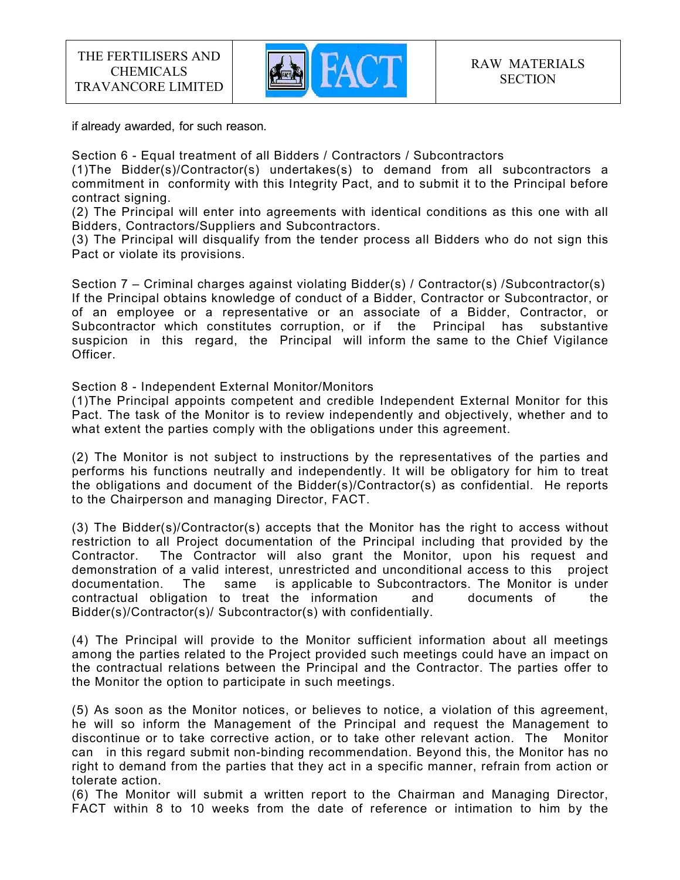

if already awarded, for such reason.

Section 6 - Equal treatment of all Bidders / Contractors / Subcontractors

(1)The Bidder(s)/Contractor(s) undertakes(s) to demand from all subcontractors a commitment in conformity with this Integrity Pact, and to submit it to the Principal before contract signing.

(2) The Principal will enter into agreements with identical conditions as this one with all Bidders, Contractors/Suppliers and Subcontractors.

(3) The Principal will disqualify from the tender process all Bidders who do not sign this Pact or violate its provisions.

Section 7 – Criminal charges against violating Bidder(s) / Contractor(s) /Subcontractor(s) If the Principal obtains knowledge of conduct of a Bidder, Contractor or Subcontractor, or of an employee or a representative or an associate of a Bidder, Contractor, or Subcontractor which constitutes corruption, or if the Principal has substantive suspicion in this regard, the Principal will inform the same to the Chief Vigilance Officer.

Section 8 - Independent External Monitor/Monitors

(1)The Principal appoints competent and credible Independent External Monitor for this Pact. The task of the Monitor is to review independently and objectively, whether and to what extent the parties comply with the obligations under this agreement.

(2) The Monitor is not subject to instructions by the representatives of the parties and performs his functions neutrally and independently. It will be obligatory for him to treat the obligations and document of the Bidder(s)/Contractor(s) as confidential. He reports to the Chairperson and managing Director, FACT.

(3) The Bidder(s)/Contractor(s) accepts that the Monitor has the right to access without restriction to all Project documentation of the Principal including that provided by the Contractor. The Contractor will also grant the Monitor, upon his request and demonstration of a valid interest, unrestricted and unconditional access to this project documentation. The same is applicable to Subcontractors. The Monitor is under contractual obligation to treat the information and documents of the Bidder(s)/Contractor(s)/ Subcontractor(s) with confidentially.

(4) The Principal will provide to the Monitor sufficient information about all meetings among the parties related to the Project provided such meetings could have an impact on the contractual relations between the Principal and the Contractor. The parties offer to the Monitor the option to participate in such meetings.

(5) As soon as the Monitor notices, or believes to notice, a violation of this agreement, he will so inform the Management of the Principal and request the Management to discontinue or to take corrective action, or to take other relevant action. The Monitor can in this regard submit non-binding recommendation. Beyond this, the Monitor has no right to demand from the parties that they act in a specific manner, refrain from action or tolerate action.

(6) The Monitor will submit a written report to the Chairman and Managing Director, FACT within 8 to 10 weeks from the date of reference or intimation to him by the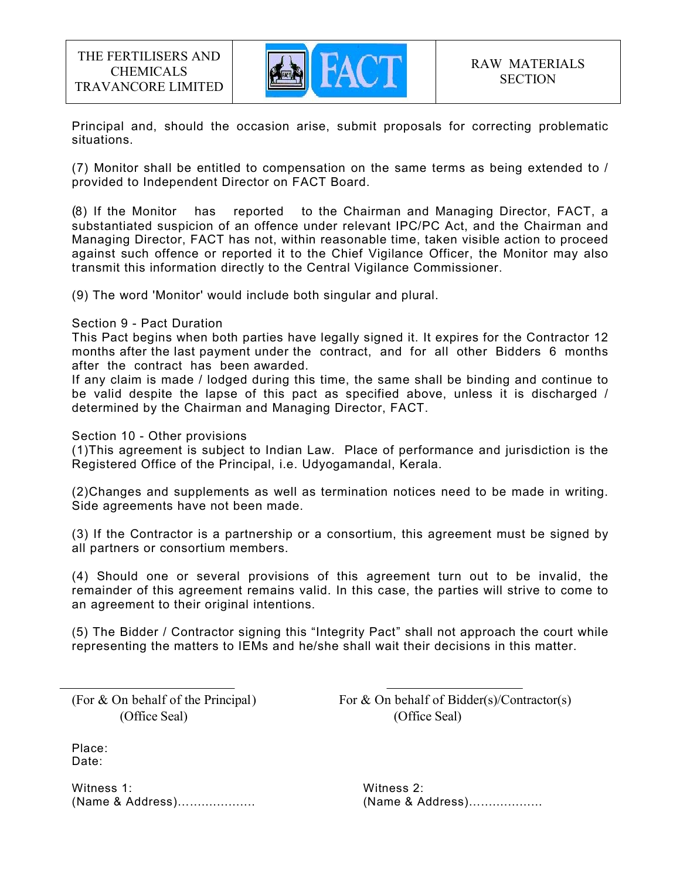

Principal and, should the occasion arise, submit proposals for correcting problematic situations.

(7) Monitor shall be entitled to compensation on the same terms as being extended to / provided to Independent Director on FACT Board.

(8) If the Monitor has reported to the Chairman and Managing Director, FACT, a substantiated suspicion of an offence under relevant IPC/PC Act, and the Chairman and Managing Director, FACT has not, within reasonable time, taken visible action to proceed against such offence or reported it to the Chief Vigilance Officer, the Monitor may also transmit this information directly to the Central Vigilance Commissioner.

(9) The word 'Monitor' would include both singular and plural.

#### Section 9 - Pact Duration

This Pact begins when both parties have legally signed it. It expires for the Contractor 12 months after the last payment under the contract, and for all other Bidders 6 months after the contract has been awarded.

If any claim is made / lodged during this time, the same shall be binding and continue to be valid despite the lapse of this pact as specified above, unless it is discharged / determined by the Chairman and Managing Director, FACT.

Section 10 - Other provisions

(1)This agreement is subject to Indian Law. Place of performance and jurisdiction is the Registered Office of the Principal, i.e. Udyogamandal, Kerala.

(2)Changes and supplements as well as termination notices need to be made in writing. Side agreements have not been made.

(3) If the Contractor is a partnership or a consortium, this agreement must be signed by all partners or consortium members.

(4) Should one or several provisions of this agreement turn out to be invalid, the remainder of this agreement remains valid. In this case, the parties will strive to come to an agreement to their original intentions.

(5) The Bidder / Contractor signing this "Integrity Pact" shall not approach the court while representing the matters to IEMs and he/she shall wait their decisions in this matter.

(Office Seal) (Office Seal)

(For  $&$  On behalf of the Principal) For  $&$  On behalf of Bidder(s)/Contractor(s)

Place: Date:

Witness 1: Witness 2: (Name & Address)…................. (Name & Address)…................